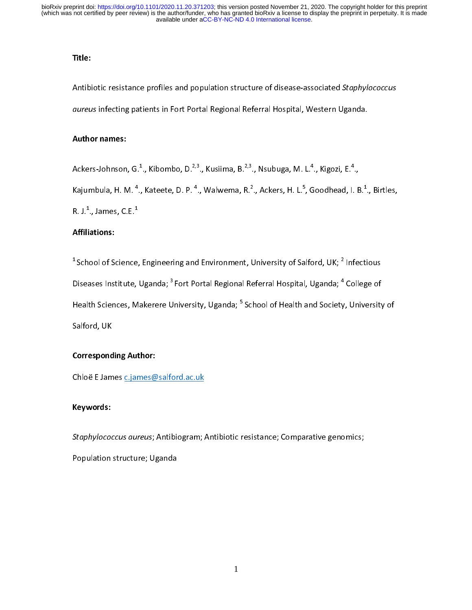available under [aCC-BY-NC-ND 4.0 International license.](http://creativecommons.org/licenses/by-nc-nd/4.0/) (which was not certified by peer review) is the author/funder, who has granted bioRxiv a license to display the preprint in perpetuity. It is made bioRxiv preprint doi: [https://doi.org/10.1101/2020.11.20.371203;](https://doi.org/10.1101/2020.11.20.371203) this version posted November 21, 2020. The copyright holder for this preprint

Title:<br>Antibiotic resistance profiles and population structure of disease-associated *Staphylococcus*<br>*aureus* infecting patients in Fort Portal Regional Referral Hospital, Western Uganda. Antibiotic resistance profiles and population structure of disease-associated *Staphylococcus*<br>aureus infecting patients in Fort Portal Regional Referral Hospital, Western Uganda.<br>Author names:<br>Ackers Johnson G<sup>-1</sup> Kibomb

# Author names:

Ackers-Johnson, G.<sup>1</sup>., Kibombo, D.<sup>2,3</sup>., Kusiima, B.<sup>2,3</sup>., Nsubuga, M. L.<sup>4</sup>., Kigozi, E.<sup>4</sup>.,

Ackers-Johnson, G.<sup>+</sup>., Kibombo, D.<sup>2,5</sup>., Kusiima, B.<sup>2,5</sup>., Nsubuga, M. L.<sup>+</sup>., Kigozi, E.<sup>+</sup><br>Kajumbula, H. M. <sup>4</sup>., Kateete, D. P. <sup>4</sup>., Walwema, R.<sup>2</sup>., Ackers, H. L.<sup>5</sup>, Goodhead, I.<br>R. J.<sup>1</sup>., James, C.E.<sup>1</sup><br>**Affilia**  $\frac{1}{1}$ . B Kajumbula, H. M. <sup>-</sup>., Kateete, D. P. <sup>-</sup>., Walwema, R.<sup>2</sup>., Ackers, H. L.<sup>3</sup>, Goodhead, I. B.<sup>4</sup><br>R. J.<sup>1</sup>., James, C.E.<sup>1</sup><br><mark>Affiliations:</mark><br><sup>1</sup> School of Science, Engineering and Environment, University of Salford, UK; <sup>2</sup> .,  $B = 0.1$  .  $\overline{B} = 0.0005$ 

# Affiliations:

R. J.<sup>+</sup>., James, C.E.<sup>+</sup><br>**Affiliations:**<br><sup>1</sup> School of Science<sub>,</sub><br>Diseases Institute, "School of Science, Engineering and Environment, University of Salford, UK; " Infectious<br>Diseases Institute, Uganda; <sup>3</sup> Fort Portal Regional Referral Hospital, Uganda; <sup>4</sup> College of<br>Health Sciences, Makerere University, Diseases Institute, Uganda; " Fort Portal Regional Referral Hospital, Uganda; " College of<br>Health Sciences, Makerere University, Uganda; <sup>5</sup> School of Health and Society, University<br>Salford, UK<br><mark>Corresponding Author:</mark> Health Sciences, Makerere University, Uganda; <sup>-</sup><br>Salford, UK<br><mark>Corresponding Author:</mark><br>Chloë E James <u>c.james@salford.ac.uk</u> School of Health and Society, University of Salford, UK<br>Corresponding Author:

Chloë E James c.james@salford.ac.uk

# Keywords:

Staphylococcus aureus; Antibiogram; Antibiotic resistance; Comparative genomics;<br>Population structure; Uganda Staphylococcus aureus; Antibiogram; Antibiotic resistance; Comparative genomics;<br>Population structure; Uganda Population structure; Uganda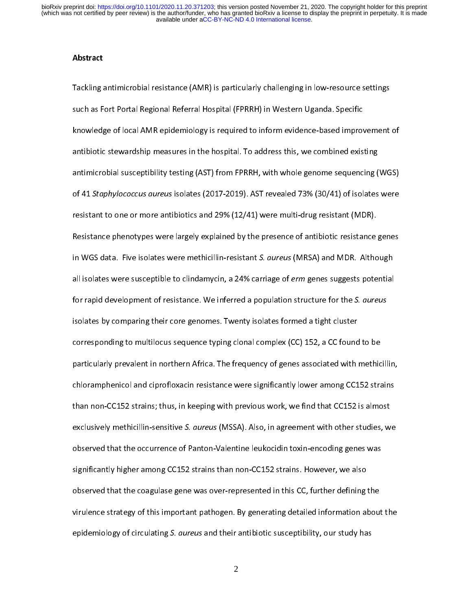available under [aCC-BY-NC-ND 4.0 International license.](http://creativecommons.org/licenses/by-nc-nd/4.0/) (which was not certified by peer review) is the author/funder, who has granted bioRxiv a license to display the preprint in perpetuity. It is made bioRxiv preprint doi: [https://doi.org/10.1101/2020.11.20.371203;](https://doi.org/10.1101/2020.11.20.371203) this version posted November 21, 2020. The copyright holder for this preprint

## Abstract

Tacking antimicrobial resistance (AMR) is particularly challenging in the research coming-<br>such as Fort Portal Regional Referral Hospital (FPRRH) in Western Uganda. Specific<br>knowledge of local AMR epidemiology is required such as Fort Portal Regional Referral Hospital (FPRRH) in Western Uganda. Specific<br>knowledge of local AMR epidemiology is required to inform evidence-based improvement of<br>antibiotic stewardship measures in the hospital. To antibiotic stewardship measures in the hospital. To address this, we combined existing<br>antimicrobial susceptibility testing (AST) from FPRRH, with whole genome sequencing (WGS)<br>of 41 *Staphylococcus aureus* isolates (2017antimicrobial susceptibility testing (AST) from FPRRH, with whole genome sequencing (<br>of 41 *Staphylococcus aureus* isolates (2017-2019). AST revealed 73% (30/41) of isolates<br>resistant to one or more antibiotics and 29% (1 and Staphylococcus aureus isolates (2017-2019). AST revealed 73% (30/41) of isolates were<br>resistant to one or more antibiotics and 29% (12/41) were multi-drug resistant (MDR).<br>Resistance phenotypes were largely explained b of 41 *Staphylococcus aureus isolates* (2017-2013). AST revealed 73% (30741) of isolates were<br>resistant to one or more antibiotics and 29% (12/41) were multi-drug resistant (MDR).<br>Resistance phenotypes were largely explain Resistance phenotypes were largely explained by the presence of antibiotic resistance<br>in WGS data. Five isolates were methicillin-resistant *S. aureus* (MRSA) and MDR. Altho<br>all isolates were susceptible to clindamycin, a In WGS data. Five isolates were methicillin-resistant *S. aureus* (MRSA) and MDR. Although<br>all isolates were susceptible to clindamycin, a 24% carriage of *erm* genes suggests potential<br>for rapid development of resistance. in WGS data. The isolates were methicilin-resistant S. aureus (MRSA) and MDR. Although<br>all isolates were susceptible to clindamycin, a 24% carriage of *erm* genes suggests potential<br>for rapid development of resistance. We all isolates were susceptible to clindamychi, a 24% carriage of erm genes suggests potential<br>for rapid development of resistance. We inferred a population structure for the *S. aureus*<br>isolates by comparing their core geno for rapid development of resistance. We inferred a population structure for the 5. ddreds<br>isolates by comparing their core genomes. Twenty isolates formed a tight cluster<br>corresponding to multilocus sequence typing clonal isolates by comparing their core genomes. Twenty isolates formed a tight cluster<br>corresponding to multilocus sequence typing clonal complex (CC) 152, a CC found to be<br>particularly prevalent in northern Africa. The frequenc particularly prevalent in northern Africa. The frequency of genes associated with methic<br>chloramphenicol and ciprofloxacin resistance were significantly lower among CC152 stra<br>than non-CC152 strains; thus, in keeping with particularly prevalent in northern after in a space, you going account in in in including,<br>chloramphenicol and ciprofloxacin resistance were significantly lower among CC152 strains<br>than non-CC152 strains; thus, in keeping chloram non-CC152 strains; thus, in keeping with previous work, we find that CC152 is almost<br>exclusively methicillin-sensitive *S. aureus* (MSSA). Also, in agreement with other studies, we<br>observed that the occurrence of P exclusively methicillin-sensitive S. *aureus* (MSSA). Also, in agreement with other studies, w<br>observed that the occurrence of Panton-Valentine leukocidin toxin-encoding genes was<br>significantly higher among CC152 strains t exclusively methiciallin-sensitive 5. aureus (MSSA). Also, in agreement with other studies, we<br>observed that the occurrence of Panton-Valentine leukocidin toxin-encoding genes was<br>significantly higher among CC152 strains t observed that the occurrence of Panton-Valentine leukocidin toxin-encoding genes was<br>significantly higher among CC152 strains than non-CC152 strains. However, we also<br>observed that the coagulase gene was over-represented i shows any mgater and ng CC152 strains than non-constraint in this CC, further defining<br>observed that the coagulase gene was over-represented in this CC, further defining<br>virulence strategy of this important pathogen. By ge observed that the control of this important pathogen. By generating detailed information about<br>epidemiology of circulating S. aureus and their antibiotic susceptibility, our study has<br>2 virulative strategy of the important pathogen. By generating assumes intermediate into the<br>epidemiology of circulating *S. aureus* and their antibiotic susceptibility, our study has<br>2 epidemiology of circulating S. aureus and their antibiotic susceptibility, our study has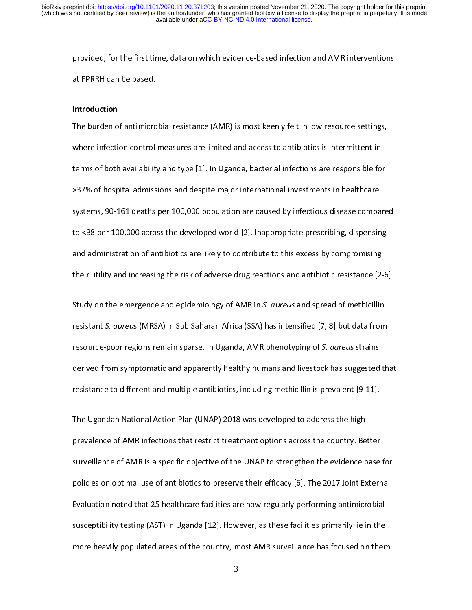provided, for the first time, at FPRRH can be based.<br>I<mark>ntroduction</mark><br>The burden of antimicrobial resistance (AMR) is most keenly felt in low resource settings,

and can be added.<br>Introduction<br>The burden of antimicro<br>where infection control The burden of<br>Where infective<br>terms of both<br>S37% of bosn The burden of antimicrobial resistance (CMR) is most keen most keen research campig.<br>Where infection control measures are limited and access to antibiotics is intermittent in<br>terms of both availability and type [1]. In Uga terms of both availability and type [1]. In Uganda, bacterial infections are responsible fo<br>>37% of hospital admissions and despite major international investments in healthcare<br>systems, 90-161 deaths per 100,000 populatio 1999 ST% of hospital admissions and despite major international investments in healthcare<br>197% of hospital admissions and despite major international investments in healthcare<br>1985 Systems, 90-161 deaths per 100,000 popula systems, 90-161 deaths per 100,000 population are caused by infectious disease compa<br>to <38 per 100,000 across the developed world [2]. Inappropriate prescribing, dispensin<br>and administration of antibiotics are likely to c systems, 900-161 deaths per 100,000 across the developed world [2]. Inappropriate prescribing, dispensing<br>and administration of antibiotics are likely to contribute to this excess by compromising<br>their utility and increasi and administration of antibiotics are likely to contribute to this excess by compromising<br>their utility and increasing the risk of adverse drug reactions and antibiotic resistance [2-6<br>Study on the emergence and epidemiolo

and administration of antibiotics are line, yie contribute to this energy comproming<br>their utility and increasing the risk of adverse drug reactions and antibiotic resistance [2-<br>Study on the emergence and epidemiology of their utility and increasing the risk of and increasing order to any antibiotic releasing  $[2, 5]$ .<br>Study on the emergence and epidemiology of AMR in *S. aureus* and spread of methicillin<br>resistant *S. aureus* (MRSA) in Su Study on the emergence and epidemiology of AMR in S. aureus and spread of methicilini<br>resistant S. aureus (MRSA) in Sub Saharan Africa (SSA) has intensified [7, 8] but data from<br>resource-poor regions remain sparse. In Ugan resource-poor regions remain sparse. In Uganda, AMR phenotyping of *S. aureus* strains<br>derived from symptomatic and apparently healthy humans and livestock has suggested that<br>resistance to different and multiple antibiotic resource-poor regions remain sparse. In Oganua, AMR phenotyping or S. dareas strains<br>derived from symptomatic and apparently healthy humans and livestock has suggested<br>resistance to different and multiple antibiotics, incl

resistance to different and multiple antibiotics, including methicillin is prevalent [9-11].<br>The Ugandan National Action Plan (UNAP) 2018 was developed to address the high<br>prevalence of AMR infections that restrict treatme The Ugandan National Action Plan (UNAP) 2018 was developed to address the high<br>prevalence of AMR infections that restrict treatment options across the country. Better<br>surveillance of AMR is a specific objective of the UNAP prevalence of AMR infections that restrict treatment options across the country. Be<br>surveillance of AMR is a specific objective of the UNAP to strengthen the evidence b<br>policies on optimal use of antibiotics to preserve th prevales are surveillance of AMR is a specific objective of the UNAP to strengthen the evidence base<br>policies on optimal use of antibiotics to preserve their efficacy [6]. The 2017 Joint Extern<br>Evaluation noted that 25 hea policies on optimal use of antibiotics to preserve their efficacy [6]. The 2017 Joint External<br>Evaluation noted that 25 healthcare facilities are now regularly performing antimicrobial<br>susceptibility testing (AST) in Ugand political units on oted that 25 healthcare facilities are now regularly performing antimicrobial<br>susceptibility testing (AST) in Uganda [12]. However, as these facilities primarily lie in the<br>more heavily populated areas o Evaluation noted that 25 healthcare facilities are non-eigentity performing antimicrobial<br>susceptibility testing (AST) in Uganda [12]. However, as these facilities primarily lie in the<br>more heavily populated areas of the susceptionary seeming (AST) in Uganda [12]. However, as these facilitations primarily lie in the<br>more heavily populated areas of the country, most AMR surveillance has focused on then<br>3  $\frac{m}{3}$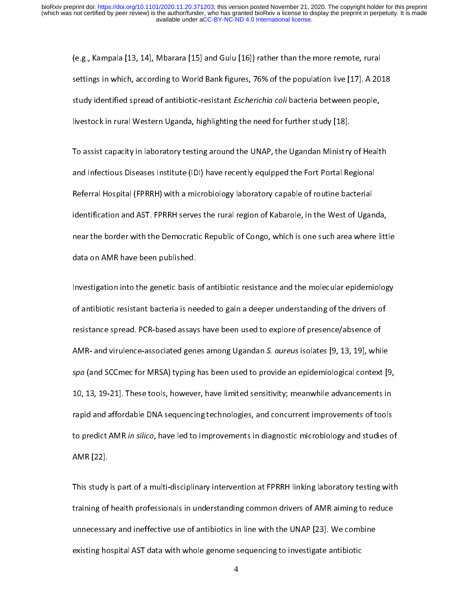(e.g., Kampala Settings in which, according to World Bank figures, 76% of the population live [17]. A 20<br>study identified spread of antibiotic-resistant *Escherichia coli* bacteria between people,<br>livestock in rural Wester study identified spread of antibiotic-resistant *Escherichia coli* bacteria between people,<br>livestock in rural Western Uganda, highlighting the need for further study [18].<br>To assist capacity in laboratory testing around t

study identified spread of antibiotic-resistant Escherichia con bacteria between people,<br>livestock in rural Western Uganda, highlighting the need for further study [18].<br>To assist capacity in laboratory testing around the livestock in rural Western Egana, highlighting in the statements study [18].<br>To assist capacity in laboratory testing around the UNAP, the Ugandan Ministry<br>and Infectious Diseases Institute (IDI) have recently equipped the and Infectious Diseases Institute (IDI) have recently equipped the Fort Portal Regional<br>Referral Hospital (FPRRH) with a microbiology laboratory capable of routine bacterial<br>identification and AST. FPRRH serves the rural r Referral Hospital (FPRRH) with a microbiology laboratory capable of routine bacterial<br>identification and AST. FPRRH serves the rural region of Kabarole, in the West of Ugan<br>near the border with the Democratic Republic of C Referral Hospital (FRR) with a microbiology of the Mest of Ugar<br>Referral Hospital Consettion and AST. FPRRH serves the rural region of Kabarole, in the West of Ugar<br>Near the border with the Democratic Republic of Congo, wh in an anti-time in the running time curve in the running serves the rural region of the rural regional,<br>near the border with the Democratic Republic of Congo, which is one such area where litt<br>data on AMR have been publish

data on AMR have been published.<br>Investigation into the genetic basis of antibiotic resistance and the molecular epidemiology<br>of antibiotic resistant bacteria is needed to gain a deeper understanding of the drivers of Investigation into the genetic basis<br>of antibiotic resistant bacteria is nee<br>resistance spread. PCR-based assay: Interal of antibiotic resistant bacteria is needed to gain a deeper understanding of the drivers of<br>Invesistance spread. PCR-based assays have been used to explore of presence/absence of<br>AMR- and virulence-associated genes of antibiotic resistance spread. PCR-based assays have been used to explore of presence/absence of<br>AMR- and virulence-associated genes among Ugandan *S. aureus* isolates [9, 13, 19], while<br>spa (and SCCmec for MRSA) typing RAMR- and virulence-associated genes among Ugandan *S. aureus* isolates [9, 13, 19], whils<br>apa (and SCCmec for MRSA) typing has been used to provide an epidemiological context<br>10, 13, 19-21]. These tools, however, have lim spa (and SCCmec for MRSA) typing has been used to provide an epidemiological context [9,<br>10, 13, 19-21]. These tools, however, have limited sensitivity; meanwhile advancements in<br>rapid and affordable DNA sequencing technol spa (and SCCMec for MRSA) typing has been used to provide an epidemiological context [5],<br>10, 13, 19-21]. These tools, however, have limited sensitivity; meanwhile advancements in<br>rapid and affordable DNA sequencing techno 10, 13, 19-21<br>10, 19-21, 19-21, 19-21, 19-21, 19-21, 19-21, 19-21, 19-21, 19-21, 19-21, 19-21, 19-21, 19-21, 19-21, 19-21, 1<br>10, 19-21, 19-21, 19-21, 19-21, 19-21, 19-21, 19-21, 19-21, 19-21, 19-21, 19-21, 19-21, 19-21, 19 rapid and an example 2 in the quarting technologies, and concurrent improvements of tools is<br>to predict AMR *in silico*, have led to improvements in diagnostic microbiology and studies o<br>AMR [22].<br>This study is part of a m

to predict AMR *in silico,* have led to improvements in diagnostic microbiology and studies of<br>AMR [22].<br>This study is part of a multi-disciplinary intervention at FPRRH linking laboratory testing with<br>training of health p This study<br>This study<br>training of<br>unnecessa training of health professionals in understanding common drivers of AMR aiming to reduce<br>unnecessary and ineffective use of antibiotics in line with the UNAP [23]. We combine<br>existing hospital AST data with whole genome se training of the UNAP [23]. We combine<br>training hospital AST data with whole genome sequencing to investigate antibiotic<br>4 existing hospital AST data with whole genome sequencing to investigate antibiotic<br>4 existing hospital AST data with whole general  $4$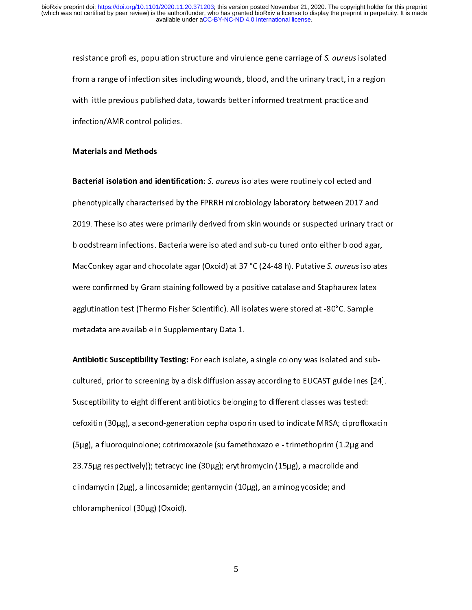resistance profiles, population structure and virulence gene carriage of S. aureus isolated<br>from a range of infection sites including wounds, blood, and the urinary tract, in a region<br>with little previous published data, t from a range of infection sites including a cannal, above, and the urinary tract, in a region,<br>with little previous published data, towards better informed treatment practice and<br>infection/AMR control policies.<br>Materials a with the previous published ataly to the total distribution provided and<br>infection/AMR control policies.<br>Racterial isolation and identification: S. *gureus* isolates were routinely collected and

infection, and technologies.<br>Materials and Methods<br>Bacterial isolation and identific Materials and Methods<br>Bacterial isolation and in<br>phenotypically character<br>2019. These isolates wer phenotypically characterised by the FPRRH microbiology laboratory between 2017 and<br>2019. These isolates were primarily derived from skin wounds or suspected urinary tract collections. Bacteria were isolated and sub-culture 2019. These isolates were primarily derived from skin wounds or suspected urinary tract or 2022. These isolates is a primarily derived from simulation from the position annual y derived<br>bloodstream infections. Bacteria were isolated and sub-cultured onto either blood agar,<br>MacConkey agar and chocolate agar (Oxoi black that the calculations is the collection and sub-culture on the culture on eigen,<br>MacConkey agar and chocolate agar (Oxoid) at 37 °C (24-48 h). Putative *S. aureus* isolate<br>were confirmed by Gram staining followed by Wacconkey agar and chocolate agar (Oxoid) at 37 °C (24-48 h). Putative 5. *dureus* isolates<br>were confirmed by Gram staining followed by a positive catalase and Staphaurex latex<br>agglutination test (Thermo Fisher Scientific) agglutination test (Thermo Fisher Scientific). All isolates were stored at -80°C. Sample<br>metadata are available in Supplementary Data 1.<br>Antibiotic Susceptibility Testing: For each isolate, a single colony was isolated and

agglumination test (Thermo Fisher Scientific). All isolates were stored at 2000 simulated at a simple<br>metadata are available in Supplementary Data 1.<br>Antibiotic Susceptibility Testing: For each isolate, a single colony was metadata are arabite in Supprementary 2 access<br>Antibiotic Susceptibility Testing: For each isolate<br>cultured, prior to screening by a disk diffusion ass<br>Susceptibility to eight different antibiotics belong Antibiotic Susceptibility Testing: For each isolate, a single colony was isolated and sub-<br>cultured, prior to screening by a disk diffusion assay according to EUCAST guidelines [24]<br>Susceptibility to eight different antibi Susceptibility to eight different antibiotics belonging to different classes was tested:<br>cefoxitin (30µg), a second-generation cephalosporin used to indicate MRSA; ciprofloxacin<br>(5µg), a fluoroquinolone; cotrimoxazole (sul cefoxitin (30µg), a second-generation cephalosporin used to indicate MRSA; ciproflo:<br>(5µg), a fluoroquinolone; cotrimoxazole (sulfamethoxazole - trimethoprim (1.2µg ant)<br>23.75µg respectively)); tetracycline (30µg); erythro cefoxical (5μg), a fluoroquinolone; cotrimoxazole (sulfamethoxazole - trimethoprim (1.2μg and<br>23.75μg respectively)); tetracycline (30μg); erythromycin (15μg), a macrolide and<br>clindamycin (2μg), a lincosamide; gentamycin (5μg), a matrix<sub>p</sub>lanticity communicity (submitmethor - trimothoppino<sub>(204</sub>g), a<br>23.75μg respectively)); tetracycline (30μg); erythromycin (15μg), a macrolide and<br>clindamycin (2μg), a lincosamide; gentamycin (10μg), an am  $2\mu$  respectively), the control of the control (30μg), and a minogly coside; and chloramphenicol (30μg) (Oxoid). chloramphenicol (30μg) (Oxoid). chloramphenicol (30μg) (Oxoid).<br>Philadelphia<br>Chloramphenicol (30μg) (Oxoid).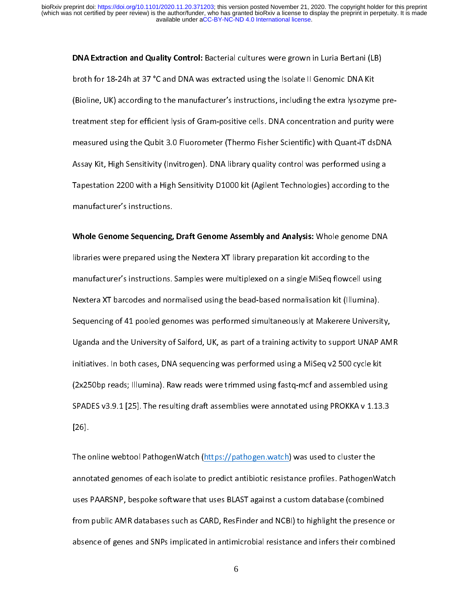Broth for 18-24h at 37 °C and DNA was extracted using the Isolate II Genomic DNA Kit<br>(Bioline, UK) according to the manufacturer's instructions, including the extra lysozyme<br>treatment step for efficient lysis of Gram-posit (Bioline, UK) according to the manufacturer's instructions, including the extra lysozymitreatment step for efficient lysis of Gram-positive cells. DNA concentration and purity measured using the Qubit 3.0 Fluorometer (Ther treatment step for entitiently step is an appearance change interesting and purity determination and purity me<br>measured using the Qubit 3.0 Fluorometer (Thermo Fisher Scientific) with Quant-iT dsDNA<br>Assay Kit, High Sensiti measured using the Qubit 3.0 Fluorometer (Thermo Fisher Scientific) with Quant-it district<br>Assay Kit, High Sensitivity (Invitrogen). DNA library quality control was performed using a<br>Tapestation 2200 with a High Sensitivit Tapestation 2200 with a High Sensitivity D1000 kit (Agilent Technologies) according to the<br>manufacturer's instructions.<br>Whole Genome Sequencing, Draft Genome Assembly and Analysis: Whole genome DNA

Tapes of the U.S. of the Bigh Sensition 2008 with an<br>imanufacturer's instructions.<br>Whole Genome Sequencing, Draft Genome Assembly and Analysis: Whole genome DNA<br>libraries were prepared using the Nextera XT library preparat Whole Genome Sequencing,<br>libraries were prepared using<br>manufacturer's instructions. Whole Genome Sequencing, Draft Genome Assembly and Analysis: Whole genome DNA<br>libraries were prepared using the Nextera XT library preparation kit according to the<br>manufacturer's instructions. Samples were multiplexed on a libraries were prepared using the Nextera XT library preparation kit according to the<br>manufacturer's instructions. Samples were multiplexed on a single MiSeq flowcell using<br>Nextera XT barcodes and normalised using the bead manufacturer's instructions. Samples were multiplexed on a single misely increasining<br>Nextera XT barcodes and normalised using the bead-based normalisation kit (Illumina).<br>Sequencing of 41 pooled genomes was performed simu Nextera XT Barancing of 41 pooled genomes was performed simultaneously at Makerere Universi<br>Uganda and the University of Salford, UK, as part of a training activity to support UNAP<br>initiatives. In both cases, DNA sequencin Uganda and the University of Salford, UK, as part of a training activity to support UNAP AMR<br>initiatives. In both cases, DNA sequencing was performed using a MiSeq v2 500 cycle kit<br>(2x250bp reads; Illumina). Raw reads were Unitiatives. In both cases, DNA sequencing was performed using a MiSeq v2 500 cycle kit<br>(2x250bp reads; Illumina). Raw reads were trimmed using fastq-mcf and assembled using<br>SPADES v3.9.1 [25]. The resulting draft assembli (2x250bp reads; Illumina). Raw reads were trimmed using fastq-mcf and assembled using<br>SPADES v3.9.1 [25]. The resulting draft assemblies were annotated using PROKKA v 1.13.3<br>[26]. (2x25)<br>SPADES v3.9.1 [25]. The resulting draft assemblies were annotated using PROKKA v<br>1.13.3<br>The online webtool PathogenWatch (https://pathogen.watch) was used to cluster the

SPADES variables variables variables were also the minimized using a versult as 1.13.1<br>[26].<br>The online webtool PathogenWatch (https://pathogen.watch) was used to cluster the<br>annotated genomes of each isolate to predict an The online webtool PathogenWatch (https://pathogen.watch) was used to cluster the<br>annotated genomes of each isolate to predict antibiotic resistance profiles. PathogenWa<br>uses PAARSNP, bespoke software that uses BLAST again annotated genomes of each isolate to predict antibiotic resistance profiles. PathogenV<br>uses PAARSNP, bespoke software that uses BLAST against a custom database (combine<br>from public AMR databases such as CARD, ResFinder and annotase PAARSNP, bespoke software that uses BLAST against a custom database (combined<br>from public AMR databases such as CARD, ResFinder and NCBI) to highlight the presence or<br>absence of genes and SNPs implicated in antimi from public AMR databases such as CARD, ResFinder and NCBI) to highlight the presence<br>absence of genes and SNPs implicated in antimicrobial resistance and infers their combined<br>6 from public AMPs implicated in antimicrobial resistance and infers their combined<br>6  $\begin{array}{r} \hline \rule{0pt}{2ex} \rule{0pt}{2ex} \rule{0pt}{2ex} \rule{0pt}{2ex} \rule{0pt}{2ex} \rule{0pt}{2ex} \rule{0pt}{2ex} \rule{0pt}{2ex} \rule{0pt}{2ex} \rule{0pt}{2ex} \rule{0pt}{2ex} \rule{0pt}{2ex} \rule{0pt}{2ex} \rule{0pt}{2ex} \rule{0pt}{2ex} \rule{0pt}{2ex} \rule{0pt}{2ex} \rule{0pt}{2ex} \rule{0pt}{2ex} \rule{0pt}{2ex} \rule{0pt}{2ex} \rule{0pt}{2ex} \rule{0pt}{2ex} \rule{$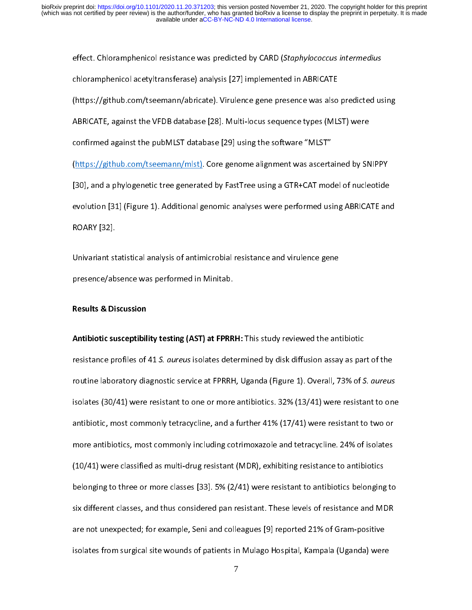effect. Chloramphenicol resistance was predicted by CARD (Staphylococcus intermedius<br>chloramphenicol acetyltransferase) analysis [27] implemented in ABRICATE<br>(https://github.com/tseemann/abricate). Virulence gene presence chttps://github.com/tseemann/abricate). Virulence gene presence was also<br>ABRICATE, against the VFDB database [28]. Multi-locus sequence types (MLS<br>confirmed against the pubMLST database [29] using the software "MLST" (https://github.com/tseemann/mlst). Core geneme gene presence types (MLST) were<br>confirmed against the pubMLST database [29] using the software "MLST"<br>(https://github.com/tseemann/mlst). Core genome alignment was ascertaine Confirmed against the pubMLST database [29] using the software "MLST"<br>(https://github.com/tseemann/mlst). Core genome alignment was ascertained by SN<br>[30], and a phylogenetic tree generated by FastTree using a GTR+CAT mode common against the pubMLST database [29] using the some and the soft<br>(https://github.com/tseemann/mlst). Core genome alignment was ascerta<br>[30], and a phylogenetic tree generated by FastTree using a GTR+CAT mod<br>evolution [ (1988), and a phylogenetic tree generated by FastTree using a GTR+CAT model of nucleotide<br>evolution [31] (Figure 1). Additional genomic analyses were performed using ABRICATE an<br>ROARY [32]. evolution [31] (Figure 1). Additional genomic analyses were performed using ABRICATE and<br>ROARY [32].<br>Univariant statistical analysis of antimicrobial resistance and virulence gene evolution [32] (Figure 1). And the Univariant statistical analysis of antimicrobial resistance and virulence genemic analysis of antimicrobial resistance and virulence genemic and  $\frac{1}{2}$ 

ROART [32].<br>Univariant st<br>presence/ab Universence/absence was performed in Minitab.<br>
Results & Discussion<br>
Antibiotic suscentibility testing (AST) at ERRRH: This study reviewed the and<br>

# Results & Discussion

presence/absence was performed in Minitab.<br> **Results & Discussion**<br> **Antibiotic susceptibility testing (AST) at FPRRH:** This study reviewed the antibiotic<br>
resistance profiles of 41 *S. aureus* isolates determined by disk Antibiotic susceptibility testing (AST) at FPRRH. This study reviewed the antibiotic<br>resistance profiles of 41 *S. aureus* isolates determined by disk diffusion assay as par<br>routine laboratory diagnostic service at FPRRH, resistance profiles of 41 S. aureus isolates determined by disk diffusion assay as part of the<br>routine laboratory diagnostic service at FPRRH, Uganda (Figure 1). Overall, 73% of *S. aureus*<br>isolates (30/41) were resistant routine laboratory diagnostic service at FPRRH, Oganda (Figure 1). Overall, 73% of S. dureus<br>isolates (30/41) were resistant to one or more antibiotics. 32% (13/41) were resistant to one<br>antibiotic, most commonly tetracycl antibiotic, most commonly tetracycline, and a further 41% (17/41) were resistant to two or<br>more antibiotics, most commonly including cotrimoxazole and tetracycline. 24% of isolates<br>(10/41) were classified as multi-drug res antibiotics, most commonly including cotrimoxazole and tetracycline. 24% of isolates<br>(10/41) were classified as multi-drug resistant (MDR), exhibiting resistance to antibiotics<br>belonging to three or more classes [33]. 5% ( (10/41) were classified as multi-drug resistant (MDR), exhibiting resistance to antibiotics<br>belonging to three or more classes [33]. 5% (2/41) were resistant to antibiotics belonging to<br>six different classes, and thus cons (10)<br>belonging to three or more classes [33]. 5% (2/41) were resistant to antibiotics belonging<br>six different classes, and thus considered pan resistant. These levels of resistance and MI<br>are not unexpected; for example, S belonging to three or more classive <sub>[23]</sub>. Every new resistant to antibiotics belonging to<br>six different classes, and thus considered pan resistant. These levels of resistance and MDR<br>are not unexpected; for example, Seni six different classes (9) reported 21% of Gram-positive<br>isolates from surgical site wounds of patients in Mulago Hospital, Kampala (Uganda) were<br>7 are not unexpected; for example, Seni and colleagues [9] reported 21% of Gram-positive<br>isolates from surgical site wounds of patients in Mulago Hospital, Kampala (Uganda) were<br>7 isolates from surgical site wounds of patients in Mulago Hospital, Kampala (Uganda) were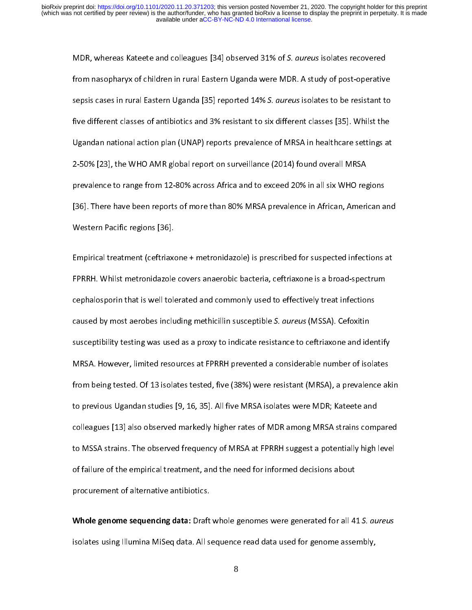MDR, whereas Kateete and coneagues [34] observed 31% or 3. d*ureus* isolates recovered<br>from nasopharyx of children in rural Eastern Uganda were MDR. A study of post-operative<br>sepsis cases in rural Eastern Uganda [35] repor from nasspire, the children in rural substitute of the third children in rural sepsis cases in rural Eastern Uganda [35] reported 14% S. *aureus* isolates to be resistant to five different classes of antibiotics and 3% res sepsis cases in rural Eastern Oganda [35] reported 14% S. aureus isolates to be resistant to<br>five different classes of antibiotics and 3% resistant to six different classes [35]. Whilst the<br>Ugandan national action plan (UN five and the tastes of antibiotic and 3 respectively. The six different classes performance of MRSA in healthcare settings at<br>2-50% [23], the WHO AMR global report on surveillance (2014) found overall MRSA<br>prevalence to ra Ugandan national action plan (UNAP) reports protational continuing continge at<br>2-50% [23], the WHO AMR global report on surveillance (2014) found overall MRSA<br>prevalence to range from 12-80% across Africa and to exceed 20% prevalence to range from 12-80% across Africa and to exceed 20% in all six WHO reg<br>[36]. There have been reports of more than 80% MRSA prevalence in African, Ameri<br>Western Pacific regions [36]. prevals. There have been reports of more than 80% MRSA prevalence in African, American a<br>Western Pacific regions [36].<br>Empirical treatment (ceftriaxone + metronidazole) is prescribed for suspected infections a

(1)<br>Western Pacific regions [36].<br>Empirical treatment (ceftriaxone + metronidazole) is prescribed for suspected infections at<br>FPRRH. Whilst metronidazole covers anaerobic bacteria, ceftriaxone is a broad-spectrum Western Pacific regions [36].<br>Empirical treatment (ceftriaxone + metronidazole) is prescribed for suspected infections at<br>FPRRH. Whilst metronidazole covers anaerobic bacteria, ceftriaxone is a broad-spectrum<br>cephalosporin EPRRH. Whilst metronidazole covers anaerobic bacteria, ceftriaxone is a broad-spectrum<br>cephalosporin that is well tolerated and commonly used to effectively treat infections<br>caused by most aerobes including methicillin sus FPRRH. While contract metallicity contract the station, contract to the station opposite<br>cephalosporin that is well tolerated and commonly used to effectively treat infections<br>caused by most aerobes including methicillin s caused by most aerobes including methicillin susceptible *S. aureus* (MSSA). Cefoxitin<br>susceptibility testing was used as a proxy to indicate resistance to ceftriaxone and iden<br>MRSA. However, limited resources at FPRRH pre caused by most aerobes including methicilin susceptible 5. Utreus (MSSA). Ceroxitin<br>susceptibility testing was used as a proxy to indicate resistance to ceftriaxone and ide<br>MRSA. However, limited resources at FPRRH prevent susceptibility of the considerable number of isolates<br>MRSA. However, limited resources at FPRRH prevented a considerable number of isolates<br>from being tested. Of 13 isolates tested, five (38%) were resistant (MRSA), a prev MARSA. HOLDEV, MARSA RESONSE ATT TANK PRESONS A CONDUCTED AND NAME PREVENTS<br>from being tested. Of 13 isolates tested, five (38%) were resistant (MRSA), a prevalence ak<br>to previous Ugandan studies [9, 16, 35]. All five MRSA from previous Ugandan studies [9, 16, 35]. All five MRSA isolates were MDR; Kateete and<br>colleagues [13] also observed markedly higher rates of MDR among MRSA strains compared<br>to MSSA strains. The observed frequency of MRSA to previous Ugandan statute [9, 29, 29, 30]. An all final finite methods were methods and colleagues [13] also observed markedly higher rates of MDR among MRSA strains compto MSSA strains. The observed frequency of MRSA at to MSSA strains. The observed frequency of MRSA at FPRRH suggest a potentially high level<br>of failure of the empirical treatment, and the need for informed decisions about<br>procurement of alternative antibiotics.

Whole genome sequencing data: Draft whole genomes were generated for all 41 S. aureus of failure of the empirical treatment, and the need for the need for all 4:<br>procurement of alternative antibiotics.<br>Whole genome sequencing data: Draft whole genomes were generated for all 4:<br>isolates using Illumina MiSeq r<br>Whole genome sequencing data: Draft<br>isolates using Illumina MiSeq data. All s Whole genome sequencing data: Draft whole genomes were generated for all 41 S. aureus<br>isolates using Illumina MiSeq data. All sequence read data used for genome assembly,<br>8 is only in the sequence read data. All sequence read data. All sequence  $\beta$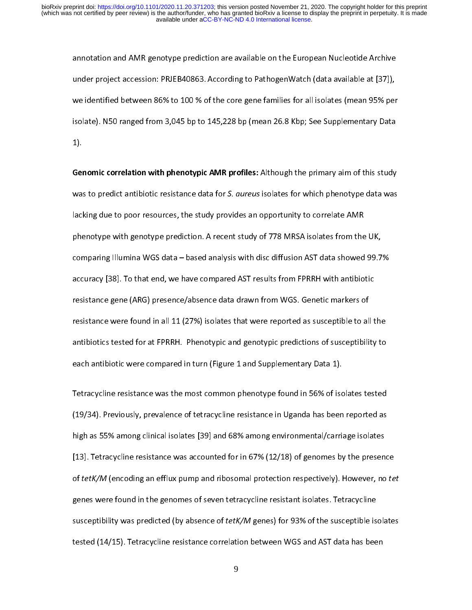ander project accession: PRJEB40863. According to PathogenWatch (data available at [37]),<br>we identified between 86% to 100 % of the core gene families for all isolates (mean 95% per<br>isolate). N50 ranged from 3,045 bp to 14 we identified between 86% to 100 % of the core gene families for all isolates (mean 95% per<br>isolate). N50 ranged from 3,045 bp to 145,228 bp (mean 26.8 Kbp; See Supplementary Data<br>1). we isolate). N50 ranged from 3,045 bp to 145,228 bp (mean 26.8 Kbp; See Supplementary Data<br>1).<br>Genomic correlation with phenotypic AMR profiles: Although the primary aim of this study

is out of the state). Note that  $\frac{1}{2}$  is the top to 145,222 bp (mean 26.8 Kbp) see Supplementary Data<br>1).<br>Was to predict antibiotic resistance data for *S. aureus* isolates for which phenotype data was -,<br>Gel<br>wa<br>lacl Was to predict antibiotic resistance data for *S. aureus* isolates for which phenotype data was<br>lacking due to poor resources, the study provides an opportunity to correlate AMR<br>phenotype with genotype prediction. A recent was to predict antibiotic resistance data for 5. dureds isolates for which phenotype data was<br>lacking due to poor resources, the study provides an opportunity to correlate AMR<br>phenotype with genotype prediction. A recent s phenotype with genotype prediction. A recent study of 778 MRSA isolates from the<br>comparing Illumina WGS data – based analysis with disc diffusion AST data showed<br>accuracy [38]. To that end, we have compared AST results fro phenotype with genotype prediction. The time can prediction AST data showed 99.7<br>comparing Illumina WGS data – based analysis with disc diffusion AST data showed 99.7<br>accuracy [38]. To that end, we have compared AST result accuracy [38]. To that end, we have compared AST results from FPRRH with antibiotic<br>resistance gene (ARG) presence/absence data drawn from WGS. Genetic markers of<br>resistance were found in all 11 (27%) isolates that were re resistance gene (ARG) presence/absence data drawn from WGS. Genetic markers of<br>resistance were found in all 11 (27%) isolates that were reported as susceptible to all t<br>antibiotics tested for at FPRRH. Phenotypic and genot resistance were found in all 11 (27%) isolates that were reported as susceptible to al<br>antibiotics tested for at FPRRH. Phenotypic and genotypic predictions of susceptibili<br>each antibiotic were compared in turn (Figure 1 a resistance were found in all 11 (27%) is such a material transfer that were put the increased antibiotics tested for at FPRRH. Phenotypic and genotypic predictions of susceptibility to each antibiotic were compared in turn

each antibiotic were compared in turn (Figure 1 and Supplementary Data 1).<br>Tetracycline resistance was the most common phenotype found in 56% of isolates tested<br>(19/34). Previously, prevalence of tetracycline resistance in each antibiotic weighted in turn, (Figure 2 and Supplementary 2 and 2).<br>Tetracycline resistance was the most common phenotype found in 56% of isc<br>(19/34). Previously, prevalence of tetracycline resistance in Uganda has bee (19/34). Previously, prevalence of tetracycline resistance in Uganda has been reported as<br>high as 55% among clinical isolates [39] and 68% among environmental/carriage isolates<br>[13]. Tetracycline resistance was accounted (19). Previously, presidence of tetracycline resistance in 19 galaximal assumption to the hast high as 55% among clinical isolates [39] and 68% among environmental/carriage isolates<br>[13]. Tetracycline resistance was accoun high as 55% among clinical isolates [39] and 68% among clinical in the present [13]. Tetracycline resistance was accounted for in 67% (12/18) of genomes by the present of *tetK/M* (encoding an efflux pump and ribosomal pro of *tetK/M* (encoding an efflux pump and ribosomal protection respectively). However, no *tet*<br>genes were found in the genomes of seven tetracycline resistant isolates. Tetracycline<br>susceptibility was predicted (by absence of tetK/M (encoding an efflux pump and ribosomal protection respectively). However, no tet<br>genes were found in the genomes of seven tetracycline resistant isolates. Tetracycline<br>susceptibility was predicted (by absence of gener were readed and as generate of tetracycline resistance of tetracycline resistance of tetracycline resistance correlation between WGS and AST data has been tested (14/15). Tetracycline resistance correlation between W susceptibility was predicted (by absence of tetR/M genes) for 93% of the susceptible isolates<br>tested (14/15). Tetracycline resistance correlation between WGS and AST data has been<br>9  $\begin{equation} \begin{aligned} \mathbf{y} & = \mathbf{y} + \mathbf{y} + \mathbf{y} + \mathbf{y} + \mathbf{y} + \mathbf{y} + \mathbf{y} + \mathbf{y} + \mathbf{y} + \mathbf{y} + \mathbf{y} + \mathbf{y} + \mathbf{y} + \mathbf{y} + \mathbf{y} + \mathbf{y} + \mathbf{y} + \mathbf{y} + \mathbf{y} + \mathbf{y} + \mathbf{y} + \mathbf{y} + \mathbf{y} + \mathbf{y} + \mathbf{y} + \mathbf{y} + \mathbf{y} + \mathbf{y} + \mathbf{y$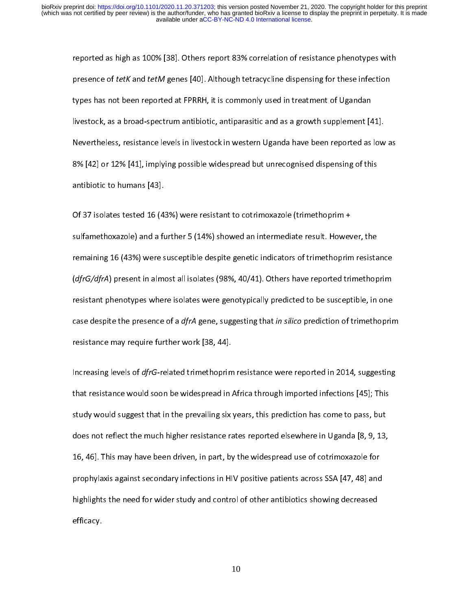presence of *tetK* and *tetM* genes [40]. Although tetracycline dispensing for these infection<br>types has not been reported at FPRRH, it is commonly used in treatment of Ugandan<br>livestock, as a broad-spectrum antibiotic, an presence of tetk and tetw genes [40]. Although tetracycline dispensing for these infection<br>types has not been reported at FPRRH, it is commonly used in treatment of Ugandan<br>livestock, as a broad-spectrum antibiotic, antipa types has not been reported at FPRRH, includingly at FRRM Hemmond of Ugandan<br>Iivestock, as a broad-spectrum antibiotic, antiparasitic and as a growth supplement [4<br>Nevertheless, resistance levels in livestock in western Ug livestock, as a broad-spectrum antibiotic, antiparation and as a growth supplement [41].<br>Nevertheless, resistance levels in livestock in western Uganda have been reported as low<br>8% [42] or 12% [41], implying possible wides Nevertheless, resistance in the annual column increasing c<sub>o</sub> and a have been reported as low as<br>8% [42] or 12% [41], implying possible widespread but unrecognised dispensing of this<br>antibiotic to humans [43].<br>Of 37 isolat

antibiotic to humans [43].<br>Of 37 isolates tested 16 (43%) were resistant to cotrimoxazole (trimethoprim +<br>sulfamethoxazole) and a further 5 (14%) showed an intermediate result. However, the of 37 isolates tested 16 (4<br>sulfamethoxazole) and a fu<br>remaining 16 (43%) were s of 37 is a sulfamethoxazole) and a further 5 (14%) showed an intermediate result. Howev<br>remaining 16 (43%) were susceptible despite genetic indicators of trimethoprim<br>(dfrG/dfrA) present in almost all isolates (98%, 40/41) sulfamethology and a function of  $(2.14)$  showed an intermediate result. However, the<br>remaining 16 (43%) were susceptible despite genetic indicators of trimethoprim resista<br>(dfrG/dfrA) present in almost all isolates (98%, remaining 16 (dfrG/dfrA) present in almost all isolates (98%, 40/41). Others have reported trimethoprim<br>resistant phenotypes where isolates were genotypically predicted to be susceptible, in one<br>case despite the presence (d)TO/d)TA) present in almost all isolates (98%, 40/41). Others have reported trimethoprint<br>resistant phenotypes where isolates were genotypically predicted to be susceptible, in one<br>case despite the presence of a *dfrA* g resistance the presence of a *dfrA* gene, suggesting that *in silico* prediction of trimethoprincies<br>resistance may require further work [38, 44].<br>Increasing levels of *dfrG-*related trimethoprim resistance were reported i

case despite the presence of a d*frA* gene, suggesting that *in silico* prediction of trimethoprim<br>resistance may require further work [38, 44].<br>Increasing levels of *dfrG-*related trimethoprim resistance were reported in resistance may require further work [38, 44].<br>Increasing levels of *dfrG*-related trimethoprim resistance were reported in 2014, suggesting<br>that resistance would soon be widespread in Africa through imported infections [45 Increasing levels of dj/O-related trimethoprim resistance were reported in 2014, suggesting<br>that resistance would soon be widespread in Africa through imported infections [45]; This<br>study would suggest that in the prevaili study would suggest that in the prevailing six years, this prediction has come to pass, but<br>does not reflect the much higher resistance rates reported elsewhere in Uganda [8, 9, 13,<br>16, 46]. This may have been driven, in p study would suggest that in the presuming surgest years, the prediction had setting to past, and<br>does not reflect the much higher resistance rates reported elsewhere in Uganda [8, 9, 13,<br>16, 46]. This may have been driven, does not reflect the much higher resistance rates reported a seculity to a galax [9, 9, 2),<br>16, 46]. This may have been driven, in part, by the widespread use of cotrimoxazole for<br>prophylaxis against secondary infections i prophylaxis against secondary infections in HIV positive patients across SSA [47, 48] and<br>highlights the need for wider study and control of other antibiotics showing decreased<br>efficacy. property to the property of the study and control of other antibiotics showing decreased<br>efficacy.<br>efficacy. highlights the need for wider study and control of other antibiotics showing decreased<br>efficacy.<br>10 efficacy.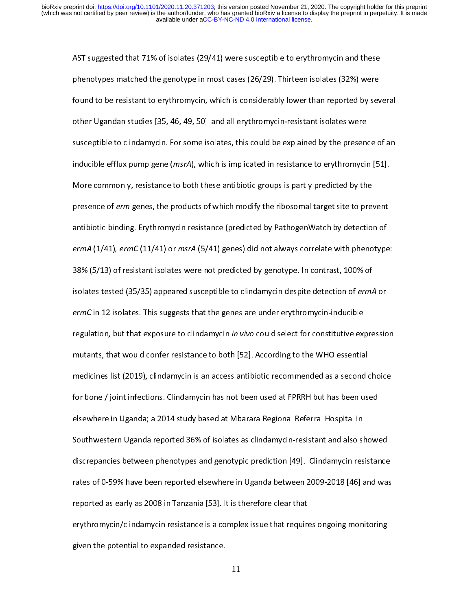phenotypes matched the genotype in most cases (26/29). Thirteen isolates (32%) were<br>found to be resistant to erythromycin, which is considerably lower than reported by sev<br>other Ugandan studies [35, 46, 49, 50] and all ery phenotypes matched the genotype in most cases (26/29). This considers the then reported by sev<br>found to be resistant to erythromycin, which is considerably lower than reported by sev<br>other Ugandan studies [35, 46, 49, 50] for the resistant to erythromy and all erythromycin-resistant isolates were<br>other Ugandan studies [35, 46, 49, 50] and all erythromycin-resistant isolates were<br>susceptible to clindamycin. For some isolates, this could be e susceptible to clindamycin. For some isolates, this could be explained by the present<br>inducible efflux pump gene (*msrA*), which is implicated in resistance to erythromycin<br>More commonly, resistance to both these antibioti inducible efflux pump gene (*msrA*), which is implicated in resistance to erythromycin [51].<br>More commonly, resistance to both these antibiotic groups is partly predicted by the<br>presence of *erm* genes, the products of whi More commonly, resistance to both these antibiotic groups is partly predicted by the<br>presence of *erm* genes, the products of which modify the ribosomal target site to prevent<br>antibiotic binding. Erythromycin resistance (p presence of *erm* genes, the products of which modify the ribosomal target site to prevantibiotic binding. Erythromycin resistance (predicted by PathogenWatch by detection *ermA* (1/41), *ermC* (11/41) or *msrA* (5/41) gen presence of erm genes, the products of which modify the ribosomal target site to prevent<br>antibiotic binding. Erythromycin resistance (predicted by PathogenWatch by detection of<br>ermA (1/41), ermC (11/41) or msrA (5/41) gene annis is standing. Erythromycin resistance (predicted by raining antibiatine) detection of<br>ermA (1/41), ermC (11/41) or msrA (5/41) genes) did not always correlate with phenotype<br>38% (5/13) of resistant isolates were not p ermA (1/41), ermc (11/41) or msrA (3/41) genes) did not always correlate with phenotype:<br>38% (5/13) of resistant isolates were not predicted by genotype. In contrast, 100% of<br>isolates tested (35/35) appeared susceptible to 38% isolates tested (35/35) appeared susceptible to clindamycin despite detection of *erm*<br>38% ermC in 12 isolates. This suggests that the genes are under erythromycin-inducible<br>38% regulation, but that exposure to clinda isolates tested (35/35) appeared susceptible to clindamycin despite detection of ermA or<br>ermC in 12 isolates. This suggests that the genes are under erythromycin-inducible<br>regulation, but that exposure to clindamycin *in v* ermC in 12 isolates. This suggests that the genes are under erythromycin-inducible<br>regulation, but that exposure to clindamycin *in vivo* could select for constitutive expression<br>mutants, that would confer resistance to bo regulation, but that exposure to clindamychi in vivo could select for constitutive expression<br>mutants, that would confer resistance to both [52]. According to the WHO essential<br>medicines list (2019), clindamycin is an acce elsewhere in Uganda; a 2014 study based at Mbarara Regional Referral Hospital in<br>Southwestern Uganda reported 36% of isolates as clindamycin-resistant and also showed medicines list (2019), climating times an access antibiotic recommended as a second choice<br>for bone / joint infections. Clindamycin has not been used at FPRRH but has been used<br>elsewhere in Uganda; a 2014 study based at Mb for bone in Uganda; a 2014 study based at Mbarara Regional Referral Hospital in<br>Southwestern Uganda reported 36% of isolates as clindamycin-resistant and also showe<br>discrepancies between phenotypes and genotypic prediction Southwestern Uganda; reported 36% of isolates as clindamycin-resistant and also sk<br>discrepancies between phenotypes and genotypic prediction [49]. Clindamycin res<br>rates of 0-59% have been reported elsewhere in Uganda betwe discrepancies between phenotypes and genotypic prediction [49]. Clindamycin resistance<br>rates of 0-59% have been reported elsewhere in Uganda between 2009-2018 [46] and wa<br>reported as early as 2008 in Tanzania [53]. It is t rates of 0-59% have been reported elsewhere in Uganda between 2009-2018 [46] and was<br>reported as early as 2008 in Tanzania [53]. It is therefore clear that<br>erythromycin/clindamycin resistance is a complex issue that requir reported as early as 2008 in Tanzania [53]. It is therefore clear that<br>erythromycin/clindamycin resistance is a complex issue that requires ongoing monitoring<br>given the potential to expanded resistance. erythromycin/clindamycin resistance is a complex issue that require<br>given the potential to expanded resistance.<br>11 erythromychip ministery controllants is a complemental multiplants ongoing monitoring<br>given the potential to expanded resistance.<br>11

given the potential to expanded resistance.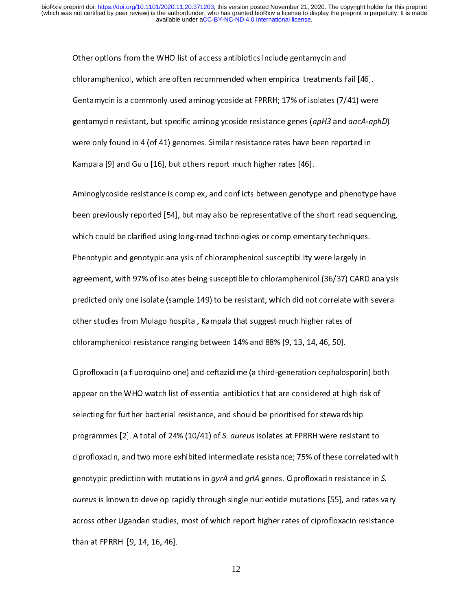Chloramphenicol, which are often recommended when empirical treatments f<br>Gentamycin is a commonly used aminoglycoside at FPRRH; 17% of isolates (7/<br>gentamycin resistant, but specific aminoglycoside resistance genes (*apH3* Contamycin is a commonly used aminoglycoside at FPRRH; 17% of isolates (7/41) were<br>gentamycin resistant, but specific aminoglycoside resistance genes (*apH3* and *aacA-ap*<br>were only found in 4 (of 41) genomes. Similar resi gentamycin resistant, but specific aminoglycoside resistance genes (*apH3* and *aacA-aph*<br>were only found in 4 (of 41) genomes. Similar resistance rates have been reported in<br>Kampala [9] and Gulu [16], but others report mu gentamycin resistant, but specific aminoglycoside resistance genes (*apH3* and *adcA-aphD)*<br>were only found in 4 (of 41) genomes. Similar resistance rates have been reported in<br>Kampala [9] and Gulu [16], but others report

Kampala [9] and Gulu [16], but others report much higher rates [46].<br>Aminoglycoside resistance is complex, and conflicts between genotype and phenotyp<br>been previously reported [54], but may also be representative of the sh Aminoglycoside resistance is complex, and conflicts between genotyp<br>been previously reported [54], but may also be representative of the<br>which could be clarified using long-read technologies or complement Been previously reported [54], but may also be representative of the short read sequencing,<br>which could be clarified using long-read technologies or complementary techniques.<br>Phenotypic and genotypic analysis of chloramphe been previously reported [54], but may also be representative of the short read sequencing,<br>which could be clarified using long-read technologies or complementary techniques.<br>Phenotypic and genotypic analysis of chloramphe Phenotypic and genotypic analysis of chloramphenicol susceptibility were largely in<br>agreement, with 97% of isolates being susceptible to chloramphenicol (36/37) CARD<br>predicted only one isolate (sample 149) to be resistant, Phenotypic areas are in the sample susceptible to chloramphenicol (36/37) CARD<br>predicted only one isolate (sample 149) to be resistant, which did not correlate with<br>other studies from Mulago hospital, Kampala that suggest predicted only one isolate (sample 149) to be resistant, which did not correlate with several<br>other studies from Mulago hospital, Kampala that suggest much higher rates of<br>chloramphenicol resistance ranging between 14% and predicted only of the setting of the studies from Mulago hospital, Kampala that suggest much higher rates of<br>chloramphenicol resistance ranging between 14% and 88% [9, 13, 14, 46, 50].<br>Ciprofloxacin (a fluoroquinolone) and

onter states as a manning study mangemental suggest much higher rates of<br>chloramphenicol resistance ranging between 14% and 88% [9, 13, 14, 46, 50].<br>Ciprofloxacin (a fluoroquinolone) and ceftazidime (a third-generation cep ciprofloxacin (a fluoroquinolone) and ceftazidime (a third-generation cephalos<br>appear on the WHO watch list of essential antibiotics that are considered at hi<br>selecting for further bacterial resistance, and should be prior appear on the WHO watch list of essential antibiotics that are considered at high risk of<br>selecting for further bacterial resistance, and should be prioritised for stewardship<br>programmes [2]. A total of 24% (10/41) of *S.* appear on the Matter Sacterial resistance, and should be prioritised for stewardship<br>programmes [2]. A total of 24% (10/41) of *S. aureus* isolates at FPRRH were resistant to<br>ciprofloxacin, and two more exhibited intermedi programmes [2]. A total of 24% (10/41) of *S. aureus* isolates at FPRRH were resistanciprofloxacin, and two more exhibited intermediate resistance; 75% of these correl<br>genotypic prediction with mutations in *gyrA* and *grl* ciprofloxacin, and two more exhibited intermediate resistance; 75% of these correlated with<br>genotypic prediction with mutations in gyrA and grlA genes. Ciprofloxacin resistance in *S.*<br>qureus is known to develop rapidly th enotypic prediction with mutations in gyrA and grlA genes. Ciprofloxacin resistance in S.<br>aureus is known to develop rapidly through single nucleotide mutations [55], and rates vary<br>across other Ugandan studies, most of wh genotypic prediction with mutations in gyrA and griA genes. Ciprofloxacin resistance in S.<br>aureus is known to develop rapidly through single nucleotide mutations [55], and rates va<br>across other Ugandan studies, most of whi across other Ugandan studies, most of which report higher rates of ciprofloxacin resistance<br>han at FPRRH [9, 14, 16, 46].<br>12 than at FPRRH  $[9, 14, 16, 46]$ .<br>12  $t_{\text{max}}$  and  $t_{\text{max}}$  (19, 14, 16, 46).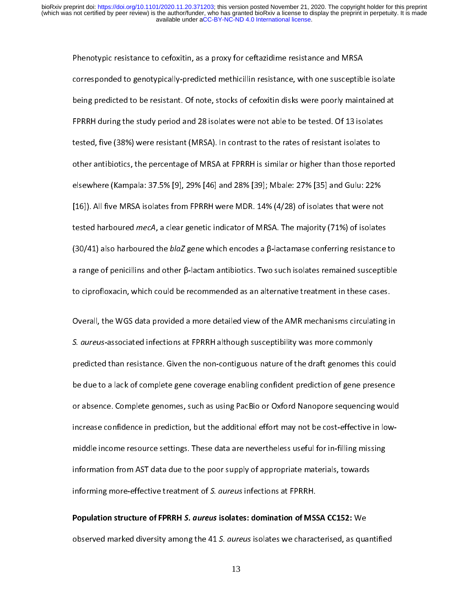Phenotypically-predicted methicillin resistance, with one susceptib<br>being predicted to be resistant. Of note, stocks of cefoxitin disks were poorly maint<br>FPRRH during the study period and 28 isolates were not able to be te being predicted to be resistant. Of note, stocks of cefoxitin disks were poorly maintained at<br>FPRRH during the study period and 28 isolates were not able to be tested. Of 13 isolates<br>tested, five (38%) were resistant (MRSA being predicted to be resistant. Of note, stocks were not able to be tested. Of 13 isolates<br>tested, five (38%) were resistant (MRSA). In contrast to the rates of resistant isolates to<br>other antibiotics, the percentage of M FPRRH during the study period and 28 isolates were not able to be tested. Of 13 isolates<br>tested, five (38%) were resistant (MRSA). In contrast to the rates of resistant isolates to<br>other antibiotics, the percentage of MRSA tested, five (38%) were resistant (MME), in contrast to into the resistant to the rate of<br>other antibiotics, the percentage of MRSA at FPRRH is similar or higher than those repor<br>elsewhere (Kampala: 37.5% [9], 29% [46] and othere (Kampala: 37.5% [9], 29% [46] and 28% [39]; Mbale: 27% [35] and Gulu: 22%<br>[16]). All five MRSA isolates from FPRRH were MDR. 14% (4/28) of isolates that were not<br>tested harboured *mecA*, a clear genetic indicator of [16]). All five MRSA isolates from FPRRH were MDR. 14% (4/28) of isolates that were not<br>tested harboured *mecA*, a clear genetic indicator of MRSA. The majority (71%) of isolate<br>(30/41) also harboured the *blaZ* gene whic tested harboured *mecA*, a clear genetic indicator of MRSA. The majority (71%) of isolates<br>(30/41) also harboured the *blaZ* gene which encodes a β-lactamase conferring resistance<br>a range of penicillins and other β-lactam (30/41) also harboured the *blaZ* genetic indicator of MRSA. The majority (71%) of isolates<br>(30/41) also harboured the *blaZ* gene which encodes a  $\beta$ -lactamase conferring resistance<br>a range of penicillins and other  $\beta$ (30/41) also harboured the blaz gene which encodes a β-lactamase conferring resistance to a range of penicillins and other β-lactam antibiotics. Two such isolates remained susceptible to ciprofloxacin, which could be rec

a range of periods of periods of periods of periods and the set of periods of penicipality of penicipality of the AMR mechanisms circulating in S. aureus-associated infections at FPRRH although susceptibility was more comm to cherall, the WGS data provided a more detailed view of the AMR mechanisms circulating in<br>S. aureus-associated infections at FPRRH although susceptibility was more commonly<br>predicted than resistance. Given the non-contig S. aureus-associated infections at FPRRH although susceptibility was more commonly<br>predicted than resistance. Given the non-contiguous nature of the draft genomes this could<br>be due to a lack of complete gene coverage enabl S. aureus-associated infections at FPRRH although susceptibility was more commonly<br>predicted than resistance. Given the non-contiguous nature of the draft genomes this<br>be due to a lack of complete gene coverage enabling co predicted than resistance. Then are coverage enabling confident prediction of gene presence<br>or absence. Complete genomes, such as using PacBio or Oxford Nanopore sequencing would<br>increase confidence in prediction, but the be due to a lack of complete genomes, such as using PacBio or Oxford Nanopore sequencing would<br>increase confidence in prediction, but the additional effort may not be cost-effective in low-<br>middle income resource settings. or absence confidence in prediction, but the additional effort may not be cost-effective in low-<br>middle income resource settings. These data are nevertheless useful for in-filling missing<br>information from AST data due to t information from AST data due to the poor supply of appropriate materials, towards<br>informing more-effective treatment of *S. aureus* infections at FPRRH.<br>Population structure of FPRRH *S. aureus* isolates: domination of MS informing more-effective treatment of *S. aureus* infections at FPRRH.<br>Population structure of FPRRH *S. aureus* isolates: domination of MSSA CC152: We<br>observed marked diversity among the 41 *S. aureus* isolates we charact

# informing more-effective treatment of S. *dureus* infections at FFRMT.<br>Population structure of FPRRH S. *aureus* isolates: domination of MS.<br>observed marked diversity among the 41 S. *aureus* isolates we charac<br>13

Population structure of FPRRH S. aureus isolates: domination of MSSA CC152: We<br>observed marked diversity among the 41 S. *aureus* isolates we characterised, as qua observed marked diversity among the 41 S. aureus isolates we characterised, as quantified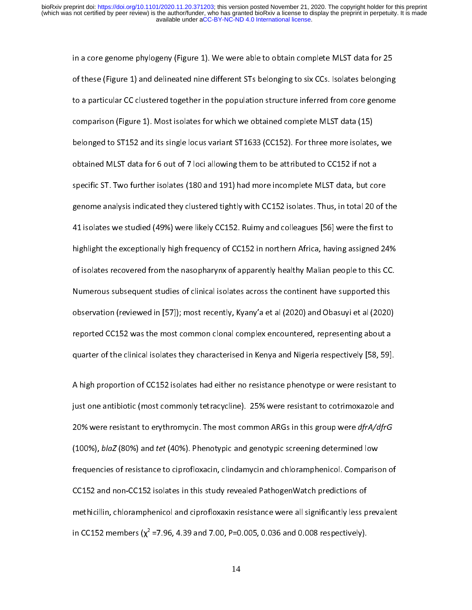in a core genome of these (Figure 1) and delineated nine different STs belonging to six CCs. Isolates belonging<br>to a particular CC clustered together in the population structure inferred from core genome<br>comparison (Figure of the set of these (Figure 2) and delineated nine different STS belonging to an extraction aroung the<br>to a particular CC clustered together in the population structure inferred from core genome<br>comparison (Figure 1). Most to a particular CC comparison (Figure 1). Most isolates for which we obtained complete MLST data (15)<br>belonged to ST152 and its single locus variant ST1633 (CC152). For three more isolates, we<br>obtained MLST data for 6 out belonged to ST152 and its single locus variant ST1633 (CC152). For three more isolates obtained MLST data for 6 out of 7 loci allowing them to be attributed to CC152 if not a specific ST. Two further isolates (180 and 191) belonged to ST152 and its single focus variable locus (CC152). For three more isolates, we<br>obtained MLST data for 6 out of 7 loci allowing them to be attributed to CC152 if not a<br>specific ST. Two further isolates (180 and specific ST. Two further isolates (180 and 191) had more incomplete MLST data, but co<br>genome analysis indicated they clustered tightly with CC152 isolates. Thus, in total 20 c<br>41 isolates we studied (49%) were likely CC152 spenome analysis indicated they clustered tightly with CC152 isolates. Thus, in total 20 of t<br>41 isolates we studied (49%) were likely CC152. Ruimy and colleagues [56] were the first t<br>highlight the exceptionally high freq genome and isolates we studied (49%) were likely CC152. Ruimy and colleagues [56] were the first to<br>highlight the exceptionally high frequency of CC152 in northern Africa, having assigned 24%<br>of isolates recovered from the Hartistical exceptionally high frequency of CC152 in northern Africa, having assigned 24%<br>of isolates recovered from the nasopharynx of apparently healthy Malian people to this CC.<br>Numerous subsequent studies of clinical i of isolates recovered from the nasopharynx of apparently healthy Malian people to this CC.<br>Numerous subsequent studies of clinical isolates across the continent have supported this<br>observation (reviewed in [57]); most rece Numerous subsequent studies of clinical isolates across the continent have supported this<br>observation (reviewed in [57]); most recently, Kyany'a et al (2020) and Obasuyi et al (2020)<br>reported CC152 was the most common clon observation (reviewed in [57]); most recently, Kyany'a et al (2020) and Obasuyi et al (2020)<br>reported CC152 was the most common clonal complex encountered, representing about a<br>quarter of the clinical isolates they charact observation (reviewed in [57]); most recently, Kyany'a et al. (2021) and Obasus, Keyan (2021)<br>reported CC152 was the most common clonal complex encountered, representing about a<br>quarter of the clinical isolates they charac

reported CC152 isolates they characterised in Kenya and Nigeria respectively [58, 59].<br>A high proportion of CC152 isolates had either no resistance phenotype or were resistant to<br>just one antibiotic (most commonly tetracyc quarter of the clinical isolates they characterised in Kenya and Nigeria respectively [58, 59].<br>A high proportion of CC152 isolates had either no resistance phenotype or were resistant to<br>just one antibiotic (most commonly just one antibiotic (most commonly tetracycline). 25% were resistant to cotrimoxazole and<br>20% were resistant to erythromycin. The most common ARGs in this group were *dfrA/dfrG*<br>(100%), *blaZ* (80%) and *tet* (40%). Phenot gue one antibiotic (most commonly tetracy, 25% were commonly tetracycline).<br>20% were resistant to erythromycin. The most common ARGs in this group were *dfrA/dfrG*<br>(100%), *blaZ* (80%) and *tet* (40%). Phenotypic and genot 20% were resistant to erythromycin. The most common ARGs in this group were dj1A/dj10<br>(100%), *blaZ* (80%) and *tet* (40%). Phenotypic and genotypic screening determined low<br>frequencies of resistance to ciprofloxacin, clin (100%), blaz (80%) and tet (40%). Phenotypic and genotypic screening determined low<br>frequencies of resistance to ciprofloxacin, clindamycin and chloramphenicol. Comparisc<br>CC152 and non-CC152 isolates in this study revealed CC152 and non-CC152 isolates in this study revealed PathogenWatch predictions of<br>methicillin, chloramphenicol and ciprofloxaxin resistance were all significantly less prevalent<br>in CC152 members ( $\chi^2$  =7.96, 4.39 and 7.0 CC152 and non-CC152 isolates in this study revealed PathogenWatch predictions of<br>methicillin, chloramphenicol and ciprofloxaxin resistance were all significantly less prevalent<br>in CC152 members ( $\chi^2$  =7.96, 4.39 and 7.0 in CC152 members ( $\chi^2$  =7.96, 4.39 and 7.00, P=0.005, 0.036 and 0.008 respectively).<br>14 in CC152 members (χ $\overline{a}$  $=$ 14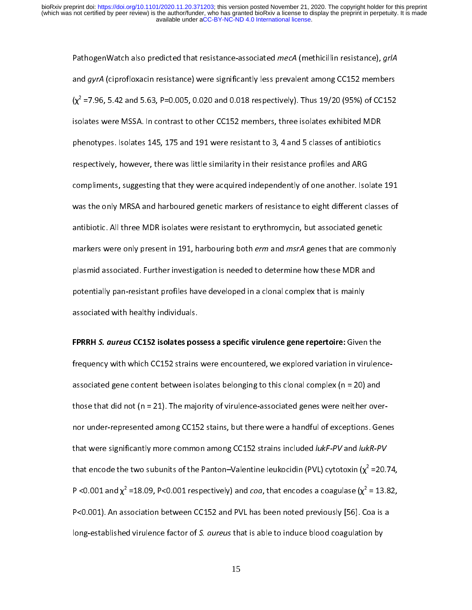and gyrA (ciprofloxacin resistance) were significantly less prevalent among CC152 members<br>( $\chi^2$  =7.96, 5.42 and 5.63, P=0.005, 0.020 and 0.018 respectively). Thus 19/20 (95%) of CC152<br>isolates were MSSA. In contrast to and *gyrA* (ciprofloxacin resistance) were significantly less prevalent among CC152 members<br>  $(\chi^2 = 7.96, 5.42$  and 5.63, P=0.005, 0.020 and 0.018 respectively). Thus 19/20 (95%) of CC152<br>
isolates were MSSA. In contrast (χ<sup>2</sup><br>iso<br>ph<br>res lates were MSSA. In contrast to other CC152 members, three isolates exhibited MDR<br>enotypes. Isolates 145, 175 and 191 were resistant to 3, 4 and 5 classes of antibiotics<br>spectively, however, there was little similarity in phenotypes. Isolates 145, 175 and 191 were resistant to 3, 4 and 5 classes of antibiotics<br>respectively, however, there was little similarity in their resistance profiles and ARG<br>compliments, suggesting that they were acqui perceprectively, however, there was little similarity in their resistance profiles and ARG<br>compliments, suggesting that they were acquired independently of one another. Isolate<br>was the only MRSA and harboured genetic marke respectively, the compliments, suggesting that they were acquired independently of one another. Iso<br>was the only MRSA and harboured genetic markers of resistance to eight different c<br>antibiotic. All three MDR isolates were was the only MRSA and harboured genetic markers of resistance to eight different classes of<br>antibiotic. All three MDR isolates were resistant to erythromycin, but associated genetic<br>markers were only present in 191, harbou antibiotic. All three MDR isolates were resistant to erythromycin, but associated genetic<br>markers were only present in 191, harbouring both *erm* and *msrA* genes that are commonly<br>plasmid associated. Further investigation markers were only present in 191, harbouring both *erm* and *msrA* genes that are commo<br>plasmid associated. Further investigation is needed to determine how these MDR and<br>potentially pan-resistant profiles have developed i markers were only present in 191, harbouring both erm and msrA genes that are commonly<br>plasmid associated. Further investigation is needed to determine how these MDR and<br>potentially pan-resistant profiles have developed in potentially pan-resistant profiles have developed in a clonal complex that is mainly<br>associated with healthy individuals.<br>FPRRH *S. aureus* CC152 isola<mark>tes possess a specific virulence gene repertoire:</mark> Given th

potentially parameters of the profiles associated with healthy individuals.<br>FPRRH *S. aureus* CC152 isolates possess a specific virulence gene repertoire: Given<br>frequency with which CC152 strains were encountered, we explo associated with health, mathematic<br>FPRRH *S. aureus* CC152 isolates pos<br>frequency with which CC152 strains<br>associated gene content between is FFRRHT S. aureus CC152 isolates possess a specific virulence gene repertoire: Given the<br>frequency with which CC152 strains were encountered, we explored variation in virulence<br>associated gene content between isolates belon that were significantly more common among CC152 strains included lukF-PV and lukR-PV those that did not (n = 21). The majority of virulence-associated genes were neither ove<br>nor under-represented among CC152 stains, but there were a handful of exceptions. Ge<br>that were significantly more common among CC152  $\frac{1}{2}$ that were significantly more common among CC152 strains included *lukF-PV* and *lukR-PV*<br>that encode the two subunits of the Panton–Valentine leukocidin (PVL) cytotoxin ( $\chi^2$  =20.74,<br>P <0.001 and  $\chi^2$  =18.09, P<0.001 that encode the two subunits of the Panton–Valentine leukocidin (PVL) cytotoxin ( $\chi^2$  =20.<br>P <0.001 and  $\chi^2$  =18.09, P<0.001 respectively) and *coa*, that encodes a coagulase ( $\chi^2$  = 13.8<br>P<0.001). An association be that encode the two subunits of the Panton–Valentine leukocidin (PVL) cytotoxin (χ<sup>2</sup> = 20.74,<br>P <0.001 and χ<sup>2</sup> =18.09, P<0.001 respectively) and *coa*, that encodes a coagulase (χ<sup>2</sup> = 13.82,<br>P<0.001). An association be P <0.001 and χ<sup>2</sup><br>P<0.001). An as<br>long-establisher =18.09, P<0.001 respectively) and *coa,* that encodes a coagulase ( $\chi^2$ <br>sociation between CC152 and PVL has been noted previously [56]. C<br>d virulence factor of *S. aureus* that is able to induce blood coagulatio<br>15 oa is a<br>n by<br>n by P<0.001). An association between CC152 and PVL has been noted previously [56]. Coa is a<br>long-established virulence factor of S. aureus that is able to induce blood coagulation by long-established virulence factor of S. aureus that is able to induce blood coagulation by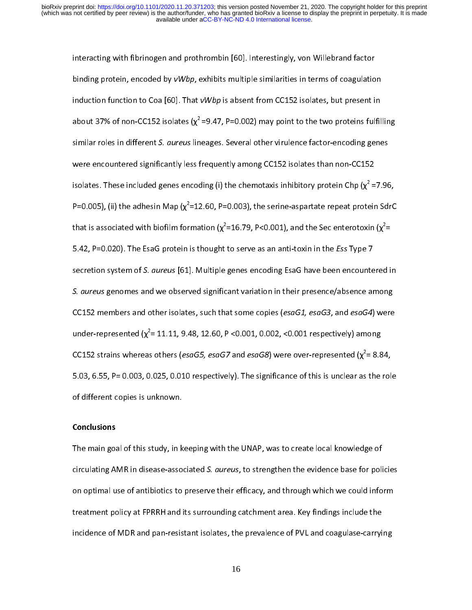binding protein, encoded by vWbp, exhibits multiple similarities in terms of coagulatio<br>induction function to Coa [60]. That vWbp is absent from CC152 isolates, but present in<br>about 37% of non-CC152 isolates ( $\chi^2$ =9.47, induction function to Coa [60]. That  $vWbp$  is absent from CC152 isolates, but present in<br>about 37% of non-CC152 isolates ( $\chi^2$ =9.47, P=0.002) may point to the two proteins fulfil<br>similar roles in different *S. aureus* l about 37% of non-CC152 isolates ( $\chi^2$ =9.47, P=0.002) may point to the two proteins fulfil<br>similar roles in different *S. aureus* lineages. Several other virulence factor-encoding gene<br>were encountered significantly less about 37% of non-CC152 isolates ( $\chi^2$  =9.47, P=0.002) may point to the two proteins fulfilling<br>similar roles in different *S. aureus* lineages. Several other virulence factor-encoding genes<br>were encountered significantl similar roles in different S. aureus lineages. Several other virulence factor-encoding genes<br>were encountered significantly less frequently among CC152 isolates than non-CC152<br>isolates. These included genes encoding (i) t isolates. These included genes encoding (i) the chemotaxis inhibitory protein Chp ( $\chi^2$  =<br>P=0.005), (ii) the adhesin Map ( $\chi^2$ =12.60, P=0.003), the serine-aspartate repeat protein<br>that is associated with biofilm forma isolates. These included genes encoding (i) the chemotaxis inhibitory protein Chp (χ<sup>2</sup> =7.96,<br>P=0.005), (ii) the adhesin Map (χ<sup>2</sup>=12.60, P=0.003), the serine-aspartate repeat protein SdrC<br>that is associated with biofilm P=0.005), (ii) the adhesin Map (χ<sup>-</sup>=12.60, P=0.003), the serine-aspartate repeat protein SdrC<br>that is associated with biofilm formation (χ<sup>2</sup>=16.79, P<0.001), and the Sec enterotoxin (χ<sup>2</sup>=<br>5.42, P=0.020). The EsaG prot that is associated with biofilm formation (χ<sup>-</sup>=16.79, P<0.001), and the Sec enterotoxin (χ<sup>-</sup><br>5.42, P=0.020). The EsaG protein is thought to serve as an anti-toxin in the *Ess* Type 7<br>secretion system of *S. aureus* [61] |<br>| i<br>| secretion system of *S. aureus* [61]. Multiple genes encoding EsaG have been encountered in<br>*S. aureus* genomes and we observed significant variation in their presence/absence among<br>CC152 members and other isolates, such t under-represented ( $\chi^2$ = 11.11, 9.48, 12.60, P < 0.001, 0.002, < 0.001 respectively) among CC152 members and other isolates, such that some copies (*esaG1, esaG3,* and *esaG4*) were<br>under-represented ( $\chi^2$ = 11.11, 9.48, 12.60, P <0.001, 0.002, <0.001 respectively) among<br>CC152 strains whereas others (*esaG5, e* under-represented ( $\chi^2$ = 11.11, 9.48, 12.60, P <0.001, 0.002, <0.001 respectively) among<br>CC152 strains whereas others (*esaG5, esaG7* and *esaG8*) were over-represented ( $\chi^2$ = 8.84,<br>5.03, 6.55, P= 0.003, 0.025, 0.010 under-represented (χ<sup>2</sup>= 11.11, 9.48, 12.60, P <0.001, 0.002, <0.001 respectively) among<br>CC152 strains whereas others (*esaG5, esaG7* and *esaG8*) were over-represented (χ<sup>2</sup>= 8.8<br>5.03, 6.55, P= 0.003, 0.025, 0.010 respec CC152 strains whereas others (*esaG5, esaG7* and *esaG8*) were over-represented (χ<sup>2</sup><br>5.03, 6.55, P= 0.003, 0.025, 0.010 respectively). The significance of this is unclear as<br>of different copies is unknown.<br>Conclusions  $the$ rol 5.03, 5.03, P= 0.03, P= 0.03, P= 0.03, O.03, O.03, O.03, O.03, O.03, O.03, O.010<br>Francisco of different copies is unknown.<br>The main goal of this study, in keeping with the UNAP, was to create local knowledge of of different copies is unknown.<br>**Conclusions**<br>The main goal of this study, in keeping with the UNAP, was to create local knowledge of

# Conclusions

circulating AMR in disease-associated *S. aureus,* to strengthen the evidence base for policies<br>on optimal use of antibiotics to preserve their efficacy, and through which we could inform<br>treatment policy at FPRRH and its circulating AMR in disease-associated S. dureus, to strengthen the evidence base for policies<br>on optimal use of antibiotics to preserve their efficacy, and through which we could inform<br>treatment policy at FPRRH and its su on optimal treatment policy at FPRRH and its surrounding catchment area. Key findings include the<br>incidence of MDR and pan-resistant isolates, the prevalence of PVL and coagulase-carrying<br>16 treatment policy at FPRR and its surface the categorian area. Key finding include the<br>incidence of MDR and pan-resistant isolates, the prevalence of PVL and coagulase-carryi<br>16 incidence of  $M_{\rm p}$  and  $\mu$  and  $\mu$  and coagulase-carrying  $16$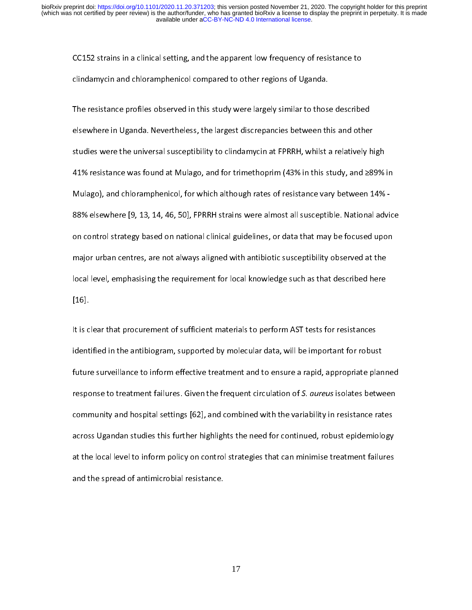clindamycin and chloramphenicol compared to other regions of Uganda.<br>The resistance profiles observed in this study were largely similar to those describe<br>elsewhere in Uganda. Nevertheless, the largest discrepancies betwee The resistance profiles observed in this study were largely similar to those<br>elsewhere in Uganda. Nevertheless, the largest discrepancies between th<br>studies were the universal susceptibility to clindamycin at FPRRH, whilst Example in Uganda. Nevertheless, the largest discrepancies between this and other<br>studies were the universal susceptibility to clindamycin at FPRRH, whilst a relatively b<br>41% resistance was found at Mulago, and for trimet elsewhere in Uganda. Nevertheless, the largest discrepancies estimate and other entity<br>studies were the universal susceptibility to clindamycin at FPRRH, whilst a relatively hi<br>41% resistance was found at Mulago, and for t studies were the universal supplies were the universe.<br>Studies were the universal susceptible, and 289%<br>Mulago), and chloramphenicol, for which although rates of resistance vary between 14%<br>Studies and chloramphenicol, fo 41% resistance vary between 14% resistance was found at Mulago), and chloramphenicol, for which although rates of resistance vary between 14% -<br>14% in this study, and this study, and a study of the study of the study of th Mulago 3, 2014<br>88% elsewhere [9, 13, 14, 46, 50], FPRRH strains were almost all susceptible. National advis<br>on control strategy based on national clinical guidelines, or data that may be focused upon<br>major urban centres, a on control strategy based on national clinical guidelines, or data that may be focused upon<br>major urban centres, are not always aligned with antibiotic susceptibility observed at the<br>local level, emphasising the requiremen on control strategy based on the transitional clinical guidelines, or data that may be focused at the<br>major urban centres, are not always aligned with antibiotic susceptibility observed at the<br>local level, emphasising the major of the set of all the centres.<br>Incal level, emphasising the requirement for local knowledge such as that described here<br>It is clear that procurement of sufficient materials to perform AST tests for resistances

local level, emphasising the requirement of sufficient materials to perform AST tests for resistances<br>It is clear that procurement of sufficient materials to perform AST tests for resistances<br>identified in the antibiogram, It is clear that procurement of sufficient materials to perform AST tests for resistances<br>identified in the antibiogram, supported by molecular data, will be important for robust<br>future surveillance to inform effective tre It is clear that procurement of summational to perform the state for restances identified in the antibiogram, supported by molecular data, will be important for robus<br>future surveillance to inform effective treatment and t future surveillance to inform effective treatment and to ensure a rapid, appropriate plan<br>response to treatment failures. Given the frequent circulation of *S. aureus* isolates betwe<br>community and hospital settings [62], a future surventure to inform effective treatment and to ensure a rapple, appropriate planned<br>future response to treatment failures. Given the frequent circulation of *S. aureus* isolates between<br>community and hospital setti response to treatment failures. Given the frequent circulation of S. dureus isolates between<br>community and hospital settings [62], and combined with the variability in resistance rates<br>across Ugandan studies this further h community and hospital settings [62], and combined with the variability in resistance rates<br>across Ugandan studies this further highlights the need for continued, robust epidemiology<br>at the local level to inform policy on at the local level to inform policy on control strategies that can minimise treatment failures and the spread of antimicrobial resistance.<br>  $\frac{1}{2}$ and the spread of antimicrobial resistance.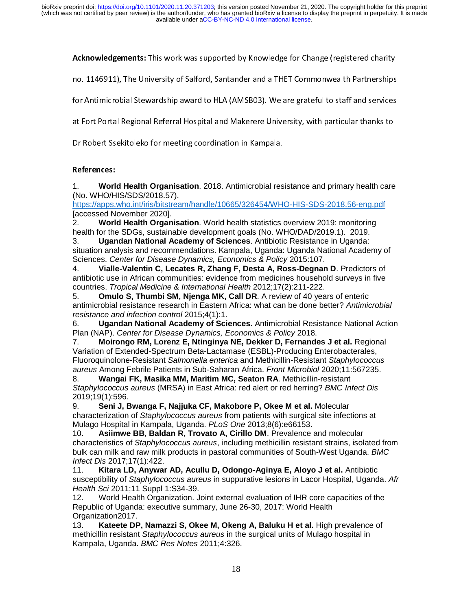available under [aCC-BY-NC-ND 4.0 International license.](http://creativecommons.org/licenses/by-nc-nd/4.0/) (which was not certified by peer review) is the author/funder, who has granted bioRxiv a license to display the preprint in perpetuity. It is made bioRxiv preprint doi: [https://doi.org/10.1101/2020.11.20.371203;](https://doi.org/10.1101/2020.11.20.371203) this version posted November 21, 2020. The copyright holder for this preprint

Acknowledgements: This work was supported by Knowledge for Change (registered chanty<br>no. 1146911), The University of Salford, Santander and a THET Commonwealth Partnerships<br>for Antimicrobial Stewardship award to HLA (AMSB0 nor 2011-2011), The University of Salemander and a Theory Commonwealth Partnerships<br>for Antimicrobial Stewardship award to HLA (AMSB03). We are grateful to staff and services<br>at Fort Portal Regional Referral Hospital and M

for Antimicrobial Christian India, to HLA (AMSB03). We are grateful to the stations of<br>at Fort Portal Regional Referral Hospital and Makerere University, with particular thanks to<br>Dr Robert Ssekitoleko for meeting coordina

# References:

at Fort Fortung-Character Press, and Makerere University, with particular making to<br>Dr Robert Ssekitoleko for meeting coordination in Kampala.<br>References:<br>(No. WHO/HIS/SDS/2018.57). Dr Robert Ssekitoleko for meeting coordination in Kampala.<br>**References:<br>1. World Health Organisation**. 2018. Antimicrobial res<br>(No. WHO/HIS/SDS/2018.57).<br>https://apps.who.int/iris/bitstream/handle/10665/326454/WH<br>[ac 1. **World Health Organisation**. 2018. Antimicrobial resistance and primary health care (No. WHO/HIS/SDS/2018.57).

https://apps.who.int/iris/bitstream/handle/10665/326454/WHO-HIS-SDS-2018.56-eng.pdf [accessed November 2020].

2. **World Health Organisation**. World health statistics overview 2019: monitoring health for the SDGs, sustainable development goals (No. WHO/DAD/2019.1). 2019.

3. **Ugandan National Academy of Sciences**. Antibiotic Resistance in Uganda: situation analysis and recommendations. Kampala, Uganda: Uganda National Academy of Sciences. *Center for Disease Dynamics, Economics & Policy* 2015:107.

4. **Vialle-Valentin C, Lecates R, Zhang F, Desta A, Ross-Degnan D. Predictors of -Valentin C, Lecates R, Zhang F, Desta A, Ross-Degnan D**. Predictors of in African communities: evidence from medicines household surveys in five ppical Medicine & International Health 2012;17(2):211-222.<br>**o S. Thumbi SM.** antibiotic use in African communities: evidence from medicines household surveys in five countries. *Tropical Medicine & International Health* 2012;17(2):211-222.

5. **Omulo S, Thumbi SM, Njenga MK, Call DR**. A review of 40 years of enteric antimicrobial resistance research in Eastern Africa: what can be done better? *Antimicrobial resistance and infection control* 2015;4(1):1.

6. **Ugandan National Academy of Sciences**. Antimicrobial Resistance National Action Plan (NAP). *Center for Disease Dynamics, Economics & Policy* 2018.

7. **Moirongo RM, Lorenz E, Ntinginya NE, Dekker D, Fernandes J et al.** Regional Variation of Extended-Spectrum Beta-Lactamase (ESBL)-Producing Enterobacterales, Fluoroquinolone-Resistant *Salmonella enterica* and Methicillin-Resistant *Staphylococcus aureus* Among Febrile Patients in Sub-Saharan Africa. *Front Microbiol* 2020;11:567235.

8. **Wangai FK, Masika MM, Maritim MC, Seaton RA**. Methicillin-resistant *Staphylococcus aureus* (MRSA) in East Africa: red alert or red herring? *BMC Infect Dis* 2019;19(1):596.

9. **Seni J, Bwanga F, Najjuka CF, Makobore P, Okee M et al.** Molecular characterization of *Staphylococcus aureus* from patients with surgical site infections at Mulago Hospital in Kampala, Uganda. *PLoS One* 2013;8(6):e66153.

10. **Asiimwe BB, Baldan R, Trovato A, Cirillo DM**. Prevalence and molecular characteristics of *Staphylococcus aureus*, including methicillin resistant strains, isolated from bulk can milk and raw milk products in pastoral communities of South-West Uganda. *BMC Infect Dis* 2017;17(1):422.

11. **Kitara LD, Anywar AD, Acullu D, Odongo-Aginya E, Aloyo J et al.** Antibiotic susceptibility of *Staphylococcus aureus* in suppurative lesions in Lacor Hospital, Uganda. *Afr Health Sci* 2011;11 Suppl 1:S34-39.

12. World Health Organization. Joint external evaluation of IHR core capacities of the Republic of Uganda: executive summary, June 26-30, 2017: World Health Organization2017.

13. **Kateete DP, Namazzi S, Okee M, Okeng A, Baluku H et al.** High prevalence of methicillin resistant *Staphylococcus aureus* in the surgical units of Mulago hospital in Kampala, Uganda. *BMC Res Notes* 2011;4:326.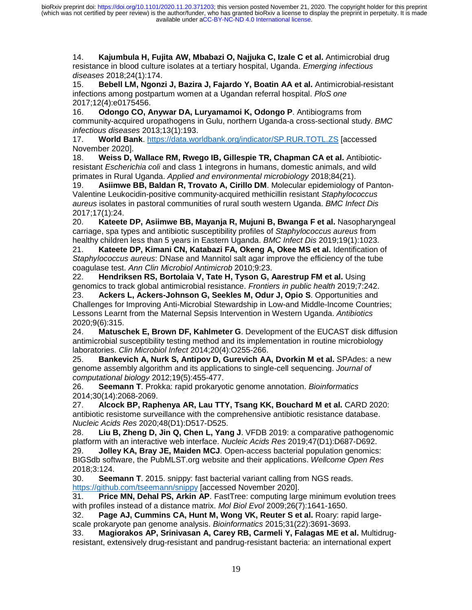14. **Kajumbula H, Fujita AW, Mbabazi O, Najjuka C, Izale C et al.** Antimicrobial drug resistance in blood culture isolates at a tertiary hospital, Uganda. *Emerging infectious diseases* 2018;24(1):174.

15. **Bebell LM, Ngonzi J, Bazira J, Fajardo Y, Boatin AA et al.** Antimicrobial-resistant infections among postpartum women at a Ugandan referral hospital. *PloS one* 2017;12(4):e0175456.

16. **Odongo CO, Anywar DA, Luryamamoi K, Odongo P**. Antibiograms from community-acquired uropathogens in Gulu, northern Uganda-a cross-sectional study. *BMC infectious diseases* 2013;13(1):193.

17. **World Bank**. https://data.worldbank.org/indicator/SP.RUR.TOTL.ZS [accessed November 2020].

18. **Weiss D, Wallace RM, Rwego IB, Gillespie TR, Chapman CA et al.** Antibioticresistant *Escherichia coli* and class 1 integrons in humans, domestic animals, and wild primates in Rural Uganda. *Applied and environmental microbiology* 2018;84(21).

19. **Asiimwe BB, Baldan R, Trovato A, Cirillo DM**. Molecular epidemiology of Panton-Valentine Leukocidin-positive community-acquired methicillin resistant *Staphylococcus aureus* isolates in pastoral communities of rural south western Uganda. *BMC Infect Dis* 2017;17(1):24.

20. **Kateete DP, Asiimwe BB, Mayanja R, Mujuni B, Bwanga F et al.** Nasopharyngeal carriage, spa types and antibiotic susceptibility profiles of *Staphylococcus aureus* from healthy children less than 5 years in Eastern Uganda. *BMC Infect Dis* 2019;19(1):1023.

21. **Kateete DP, Kimani CN, Katabazi FA, Okeng A, Okee MS et al.** Identification of *Staphylococcus aureus*: DNase and Mannitol salt agar improve the efficiency of the tube coagulase test. *Ann Clin Microbiol Antimicrob* 2010;9:23.

22. **Hendriksen RS, Bortolaia V, Tate H, Tyson G, Aarestrup FM et al.** Using genomics to track global antimicrobial resistance. *Frontiers in public health* 2019;7:242.

23. **Ackers L, Ackers-Johnson G, Seekles M, Odur J, Opio S**. Opportunities and Challenges for Improving Anti-Microbial Stewardship in Low-and Middle-Income Countries; Lessons Learnt from the Maternal Sepsis Intervention in Western Uganda. *Antibiotics* 2020;9(6):315.

24. **Matuschek E, Brown DF, Kahlmeter G**. Development of the EUCAST disk diffusion antimicrobial susceptibility testing method and its implementation in routine microbiology laboratories. *Clin Microbiol Infect* 2014;20(4):O255-266.

25. **Bankevich A, Nurk S, Antipov D, Gurevich AA, Dvorkin M et al.** SPAdes: a new genome assembly algorithm and its applications to single-cell sequencing. *Journal of computational biology* 2012;19(5):455-477.

26. **Seemann T**. Prokka: rapid prokaryotic genome annotation. *Bioinformatics* 2014;30(14):2068-2069.

27. **Alcock BP, Raphenya AR, Lau TTY, Tsang KK, Bouchard M et al.** CARD 2020: antibiotic resistome surveillance with the comprehensive antibiotic resistance database. *Nucleic Acids Res* 2020;48(D1):D517-D525.

28. **Liu B, Zheng D, Jin Q, Chen L, Yang J**. VFDB 2019: a comparative pathogenomic platform with an interactive web interface. *Nucleic Acids Res* 2019;47(D1):D687-D692.

29. **Jolley KA, Bray JE, Maiden MCJ**. Open-access bacterial population genomics: BIGSdb software, the PubMLST.org website and their applications. *Wellcome Open Res* 2018;3:124.

30. **Seemann T**. 2015. snippy: fast bacterial variant calling from NGS reads. https://github.com/tseemann/snippy [accessed November 2020].

31. **Price MN, Dehal PS, Arkin AP**. FastTree: computing large minimum evolution trees with profiles instead of a distance matrix. *Mol Biol Evol* 2009;26(7):1641-1650.

32. **Page AJ, Cummins CA, Hunt M, Wong VK, Reuter S et al.** Roary: rapid largescale prokaryote pan genome analysis. *Bioinformatics* 2015;31(22):3691-3693.

33. **Magiorakos AP, Srinivasan A, Carey RB, Carmeli Y, Falagas ME et al.** Multidrugresistant, extensively drug-resistant and pandrug-resistant bacteria: an international expert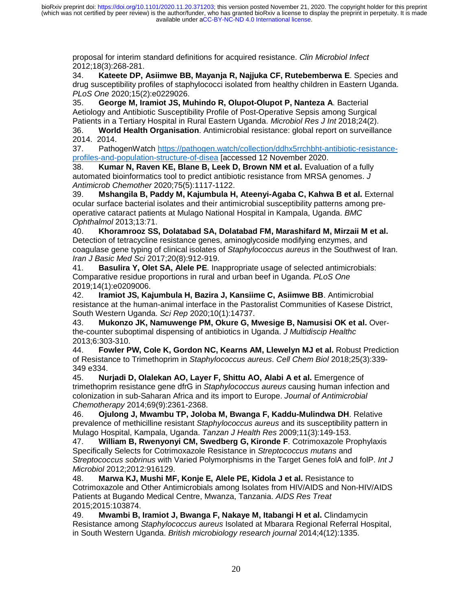proposal for interim standard definitions for acquired resistance. *Clin Microbiol Infect* 2012;18(3):268-281.

34. **Kateete DP, Asiimwe BB, Mayanja R, Najjuka CF, Rutebemberwa E**. Species and drug susceptibility profiles of staphylococci isolated from healthy children in Eastern Uganda. *PLoS One* 2020;15(2):e0229026.

35. **George M, Iramiot JS, Muhindo R, Olupot-Olupot P, Nanteza A**. Bacterial Aetiology and Antibiotic Susceptibility Profile of Post-Operative Sepsis among Surgical Patients in a Tertiary Hospital in Rural Eastern Uganda. *Microbiol Res J Int* 2018;24(2).

36. **World Health Organisation**. Antimicrobial resistance: global report on surveillance 2014. 2014.

37. PathogenWatch https://pathogen.watch/collection/ddhx5rrchbht-antibiotic-resistanceprofiles-and-population-structure-of-disea [accessed 12 November 2020.

38. **Kumar N, Raven KE, Blane B, Leek D, Brown NM et al.** Evaluation of a fully automated bioinformatics tool to predict antibiotic resistance from MRSA genomes. *J Antimicrob Chemother* 2020;75(5):1117-1122.

39. **Mshangila B, Paddy M, Kajumbula H, Ateenyi-Agaba C, Kahwa B et al.** External ocular surface bacterial isolates and their antimicrobial susceptibility patterns among preoperative cataract patients at Mulago National Hospital in Kampala, Uganda. *BMC Ophthalmol* 2013;13:71.

40. **Khoramrooz SS, Dolatabad SA, Dolatabad FM, Marashifard M, Mirzaii M et al.** Detection of tetracycline resistance genes, aminoglycoside modifying enzymes, and coagulase gene typing of clinical isolates of *Staphylococcus aureus* in the Southwest of Iran. *Iran J Basic Med Sci* 2017;20(8):912-919.

41. **Basulira Y, Olet SA, Alele PE**. Inappropriate usage of selected antimicrobials: Comparative residue proportions in rural and urban beef in Uganda. *PLoS One* 2019;14(1):e0209006.

42. **Iramiot JS, Kajumbula H, Bazira J, Kansiime C, Asiimwe BB**. Antimicrobial resistance at the human-animal interface in the Pastoralist Communities of Kasese District, South Western Uganda. *Sci Rep* 2020;10(1):14737.

43. **Mukonzo JK, Namuwenge PM, Okure G, Mwesige B, Namusisi OK et al.** Overthe-counter suboptimal dispensing of antibiotics in Uganda. *J Multidiscip Healthc* 2013;6:303-310.

44. **Fowler PW, Cole K, Gordon NC, Kearns AM, Llewelyn MJ et al.** Robust Prediction of Resistance to Trimethoprim in *Staphylococcus aureus*. *Cell Chem Biol* 2018;25(3):339- 349 e334.

45. **Nurjadi D, Olalekan AO, Layer F, Shittu AO, Alabi A et al.** Emergence of trimethoprim resistance gene dfrG in *Staphylococcus aureus* causing human infection and colonization in sub-Saharan Africa and its import to Europe. *Journal of Antimicrobial Chemotherapy* 2014;69(9):2361-2368.

46. **Ojulong J, Mwambu TP, Joloba M, Bwanga F, Kaddu-Mulindwa DH**. Relative prevalence of methicilline resistant *Staphylococcus aureus* and its susceptibility pattern in Mulago Hospital, Kampala, Uganda. *Tanzan J Health Res* 2009;11(3):149-153.

47. **William B, Rwenyonyi CM, Swedberg G, Kironde F**. Cotrimoxazole Prophylaxis Specifically Selects for Cotrimoxazole Resistance in *Streptococcus mutans* and *Streptococcus sobrinus* with Varied Polymorphisms in the Target Genes folA and folP. *Int J Microbiol* 2012;2012:916129.

48. **Marwa KJ, Mushi MF, Konje E, Alele PE, Kidola J et al.** Resistance to Cotrimoxazole and Other Antimicrobials among Isolates from HIV/AIDS and Non-HIV/AIDS Patients at Bugando Medical Centre, Mwanza, Tanzania. *AIDS Res Treat* 2015;2015:103874.

49. **Mwambi B, Iramiot J, Bwanga F, Nakaye M, Itabangi H et al.** Clindamycin Resistance among *Staphylococcus aureus* Isolated at Mbarara Regional Referral Hospital, in South Western Uganda. *British microbiology research journal* 2014;4(12):1335.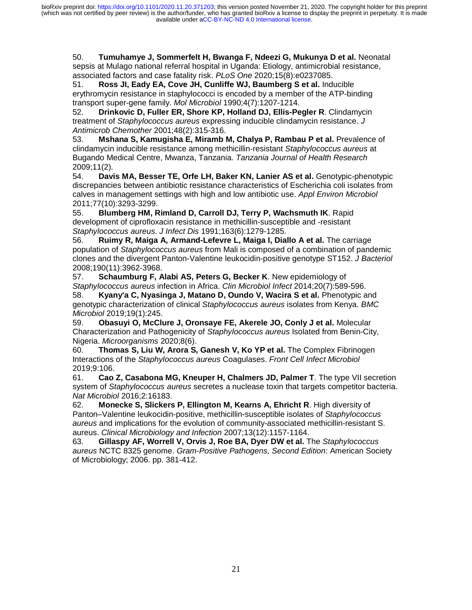50. **Tumuhamye J, Sommerfelt H, Bwanga F, Ndeezi G, Mukunya D et al.** Neonatal sepsis at Mulago national referral hospital in Uganda: Etiology, antimicrobial resistance, associated factors and case fatality risk. *PLoS One* 2020;15(8):e0237085.

51. **Ross JI, Eady EA, Cove JH, Cunliffe WJ, Baumberg S et al.** Inducible erythromycin resistance in staphylococci is encoded by a member of the ATP-binding transport super-gene family. *Mol Microbiol* 1990;4(7):1207-1214.

52. **Drinkovic D, Fuller ER, Shore KP, Holland DJ, Ellis-Pegler R**. Clindamycin treatment of *Staphylococcus aureus* expressing inducible clindamycin resistance. *J Antimicrob Chemother* 2001;48(2):315-316.

53. **Mshana S, Kamugisha E, Miramb M, Chalya P, Rambau P et al.** Prevalence of clindamycin inducible resistance among methicillin-resistant *Staphylococcus aureus* at Bugando Medical Centre, Mwanza, Tanzania. *Tanzania Journal of Health Research* 2009;11(2).

54. **Davis MA, Besser TE, Orfe LH, Baker KN, Lanier AS et al.** Genotypic-phenotypic discrepancies between antibiotic resistance characteristics of Escherichia coli isolates from calves in management settings with high and low antibiotic use. *Appl Environ Microbiol* 2011;77(10):3293-3299.

55. **Blumberg HM, Rimland D, Carroll DJ, Terry P, Wachsmuth IK**. Rapid development of ciprofloxacin resistance in methicillin-susceptible and -resistant *Staphylococcus aureus*. *J Infect Dis* 1991;163(6):1279-1285.

56. **Ruimy R, Maiga A, Armand-Lefevre L, Maiga I, Diallo A et al.** The carriage population of *Staphylococcus aureus* from Mali is composed of a combination of pandemic clones and the divergent Panton-Valentine leukocidin-positive genotype ST152. *J Bacteriol* 2008;190(11):3962-3968.

57. **Schaumburg F, Alabi AS, Peters G, Becker K**. New epidemiology of *Staphylococcus aureus* infection in Africa. *Clin Microbiol Infect* 2014;20(7):589-596.

58. **Kyany'a C, Nyasinga J, Matano D, Oundo V, Wacira S et al.** Phenotypic and genotypic characterization of clinical *Staphylococcus aureus* isolates from Kenya. *BMC Microbiol* 2019;19(1):245.

59. **Obasuyi O, McClure J, Oronsaye FE, Akerele JO, Conly J et al.** Molecular Characterization and Pathogenicity of *Staphylococcus aureus* Isolated from Benin-City, Nigeria. *Microorganisms* 2020;8(6).

60. **Thomas S, Liu W, Arora S, Ganesh V, Ko YP et al.** The Complex Fibrinogen Interactions of the *Staphylococcus aureus* Coagulases. *Front Cell Infect Microbiol* 2019;9:106.

61. **Cao Z, Casabona MG, Kneuper H, Chalmers JD, Palmer T**. The type VII secretion system of *Staphylococcus aureus* secretes a nuclease toxin that targets competitor bacteria. *Nat Microbiol* 2016;2:16183.

62. **Monecke S, Slickers P, Ellington M, Kearns A, Ehricht R**. High diversity of Panton–Valentine leukocidin-positive, methicillin-susceptible isolates of *Staphylococcus aureus* and implications for the evolution of community-associated methicillin-resistant S. aureus. *Clinical Microbiology and Infection* 2007;13(12):1157-1164.

63. **Gillaspy AF, Worrell V, Orvis J, Roe BA, Dyer DW et al.** The *Staphylococcus aureus* NCTC 8325 genome. *Gram-Positive Pathogens, Second Edition*: American Society of Microbiology; 2006. pp. 381-412.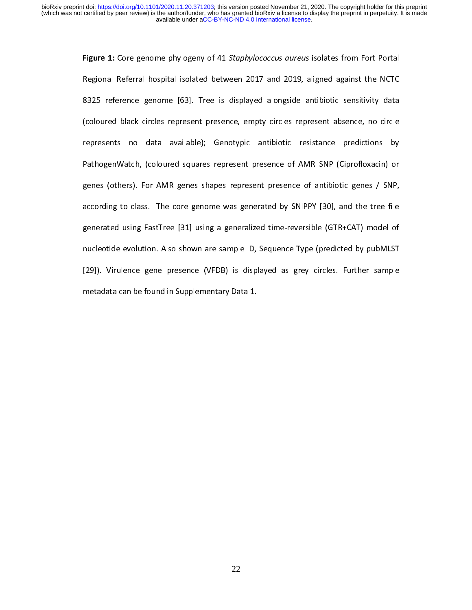Figure 1: Core genome phylogeny of 41 Staphylococcus aureus isolates from Fort Fortal<br>Regional Referral hospital isolated between 2017 and 2019, aligned against the NCTC<br>8325 reference genome [63]. Tree is displayed alongs Regional Referrat Referrat Referration 2018 and 2017 and 2019, aligned against the NCTC<br>8325 reference genome [63]. Tree is displayed alongside antibiotic sensitivity data<br>(coloured black circles represent presence, empty (coloured black circles represent presence, empty circles represent absence, no circle represents no data available); Genotypic antibiotic resistance predictions by<br>PathogenWatch, (coloured squares represent presence of AMR SNP (Ciprofloxacin) or<br>genes (others). For AMR genes shapes represent presence of ant PathogenWatch, (coloured squares represent presence of AMR SNP (Ciprofloxacin) or genes (others). For AMR genes shapes represent presence of antibiotic genes / SNP, according to class. The core genome was generated by SNIPPY [30], and the tree file<br>generated using FastTree [31] using a generalized time-reversible (GTR+CAT) model of<br>nucleotide evolution. Also shown are sample ID, Seque generated using FastTree [31] using a generalized time-reversible (GTR+CAT) model of<br>nucleotide evolution. Also shown are sample ID, Sequence Type (predicted by pubMLST<br>[29]). Virulence gene presence (VFDB) is displayed as nucleotide evolution. Also shown are sample ID, Sequence Type (predicted by pubMLST<br>[29]). Virulence gene presence (VFDB) is displayed as grey circles. Further sample<br>metadata can be found in Supplementary Data 1. [29]). Virulence gene presence (VFDB) is displayed as grey circles. Further sample metadata can be found in Supplementary Data 1.<br>
Metadata can be found in Supplementary Data 1. metadata can be found in Supplementary Data 1.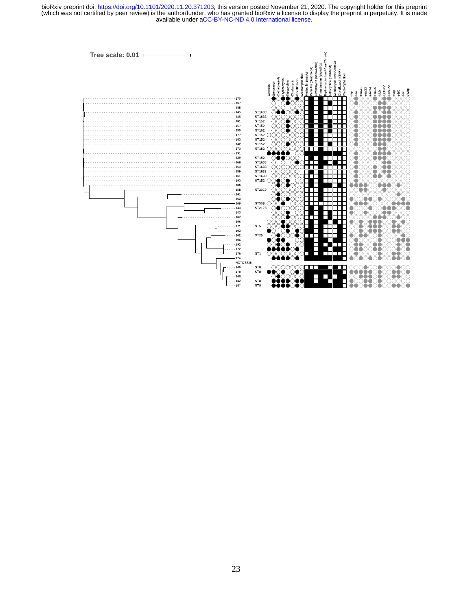available under [aCC-BY-NC-ND 4.0 International license.](http://creativecommons.org/licenses/by-nc-nd/4.0/) (which was not certified by peer review) is the author/funder, who has granted bioRxiv a license to display the preprint in perpetuity. It is made bioRxiv preprint doi: [https://doi.org/10.1101/2020.11.20.371203;](https://doi.org/10.1101/2020.11.20.371203) this version posted November 21, 2020. The copyright holder for this preprint